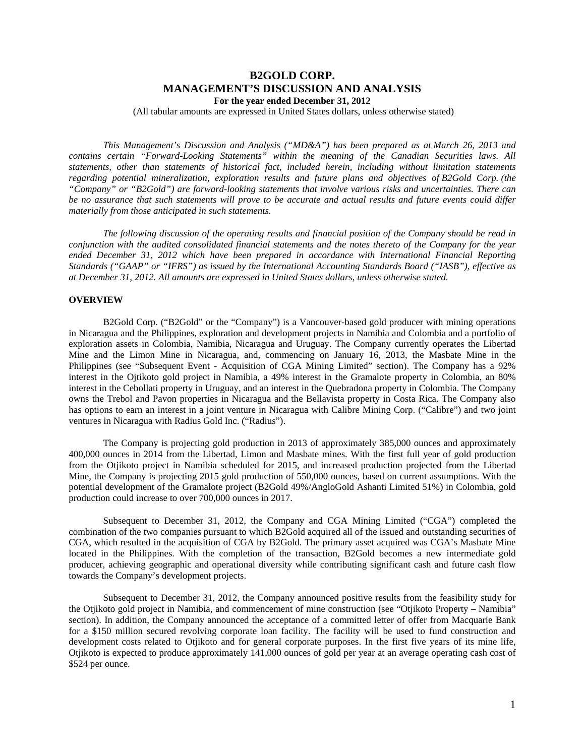# **B2GOLD CORP. MANAGEMENT'S DISCUSSION AND ANALYSIS For the year ended December 31, 2012**

(All tabular amounts are expressed in United States dollars, unless otherwise stated)

*This Management's Discussion and Analysis ("MD&A") has been prepared as at March 26, 2013 and contains certain "Forward-Looking Statements" within the meaning of the Canadian Securities laws. All statements, other than statements of historical fact, included herein, including without limitation statements regarding potential mineralization, exploration results and future plans and objectives of B2Gold Corp. (the "Company" or "B2Gold") are forward-looking statements that involve various risks and uncertainties. There can be no assurance that such statements will prove to be accurate and actual results and future events could differ materially from those anticipated in such statements.* 

*The following discussion of the operating results and financial position of the Company should be read in conjunction with the audited consolidated financial statements and the notes thereto of the Company for the year ended December 31, 2012 which have been prepared in accordance with International Financial Reporting Standards ("GAAP" or "IFRS") as issued by the International Accounting Standards Board ("IASB"), effective as at December 31, 2012. All amounts are expressed in United States dollars, unless otherwise stated.* 

### **OVERVIEW**

B2Gold Corp. ("B2Gold" or the "Company") is a Vancouver-based gold producer with mining operations in Nicaragua and the Philippines, exploration and development projects in Namibia and Colombia and a portfolio of exploration assets in Colombia, Namibia, Nicaragua and Uruguay. The Company currently operates the Libertad Mine and the Limon Mine in Nicaragua, and, commencing on January 16, 2013, the Masbate Mine in the Philippines (see "Subsequent Event - Acquisition of CGA Mining Limited" section). The Company has a 92% interest in the Ojtikoto gold project in Namibia, a 49% interest in the Gramalote property in Colombia, an 80% interest in the Cebollati property in Uruguay, and an interest in the Quebradona property in Colombia. The Company owns the Trebol and Pavon properties in Nicaragua and the Bellavista property in Costa Rica. The Company also has options to earn an interest in a joint venture in Nicaragua with Calibre Mining Corp. ("Calibre") and two joint ventures in Nicaragua with Radius Gold Inc. ("Radius").

The Company is projecting gold production in 2013 of approximately 385,000 ounces and approximately 400,000 ounces in 2014 from the Libertad, Limon and Masbate mines. With the first full year of gold production from the Otjikoto project in Namibia scheduled for 2015, and increased production projected from the Libertad Mine, the Company is projecting 2015 gold production of 550,000 ounces, based on current assumptions. With the potential development of the Gramalote project (B2Gold 49%/AngloGold Ashanti Limited 51%) in Colombia, gold production could increase to over 700,000 ounces in 2017.

Subsequent to December 31, 2012, the Company and CGA Mining Limited ("CGA") completed the combination of the two companies pursuant to which B2Gold acquired all of the issued and outstanding securities of CGA, which resulted in the acquisition of CGA by B2Gold. The primary asset acquired was CGA's Masbate Mine located in the Philippines. With the completion of the transaction, B2Gold becomes a new intermediate gold producer, achieving geographic and operational diversity while contributing significant cash and future cash flow towards the Company's development projects.

Subsequent to December 31, 2012, the Company announced positive results from the feasibility study for the Otjikoto gold project in Namibia, and commencement of mine construction (see "Otjikoto Property – Namibia" section). In addition, the Company announced the acceptance of a committed letter of offer from Macquarie Bank for a \$150 million secured revolving corporate loan facility. The facility will be used to fund construction and development costs related to Otjikoto and for general corporate purposes. In the first five years of its mine life, Otjikoto is expected to produce approximately 141,000 ounces of gold per year at an average operating cash cost of \$524 per ounce.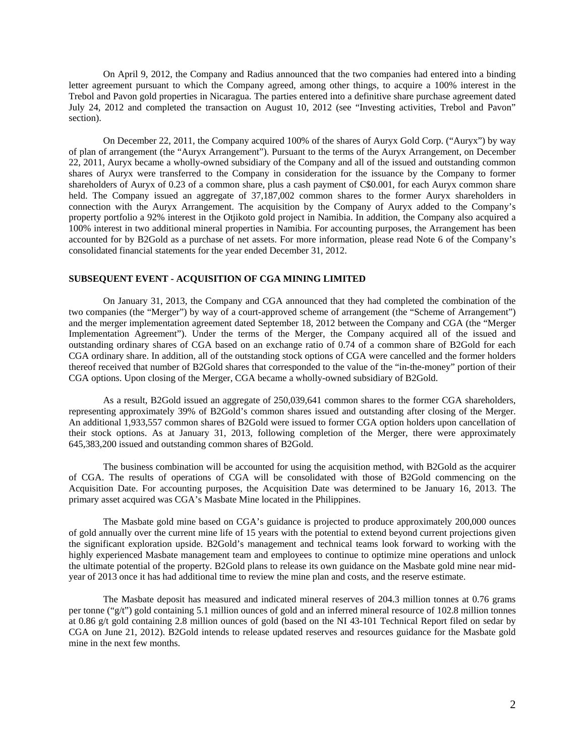On April 9, 2012, the Company and Radius announced that the two companies had entered into a binding letter agreement pursuant to which the Company agreed, among other things, to acquire a 100% interest in the Trebol and Pavon gold properties in Nicaragua. The parties entered into a definitive share purchase agreement dated July 24, 2012 and completed the transaction on August 10, 2012 (see "Investing activities, Trebol and Pavon" section).

On December 22, 2011, the Company acquired 100% of the shares of Auryx Gold Corp. ("Auryx") by way of plan of arrangement (the "Auryx Arrangement"). Pursuant to the terms of the Auryx Arrangement, on December 22, 2011, Auryx became a wholly-owned subsidiary of the Company and all of the issued and outstanding common shares of Auryx were transferred to the Company in consideration for the issuance by the Company to former shareholders of Auryx of 0.23 of a common share, plus a cash payment of C\$0.001, for each Auryx common share held. The Company issued an aggregate of  $37,187,002$  common shares to the former Auryx shareholders in connection with the Auryx Arrangement. The acquisition by the Company of Auryx added to the Company's property portfolio a 92% interest in the Otjikoto gold project in Namibia. In addition, the Company also acquired a 100% interest in two additional mineral properties in Namibia. For accounting purposes, the Arrangement has been accounted for by B2Gold as a purchase of net assets. For more information, please read Note 6 of the Company's consolidated financial statements for the year ended December 31, 2012.

## **SUBSEQUENT EVENT - ACQUISITION OF CGA MINING LIMITED**

On January 31, 2013, the Company and CGA announced that they had completed the combination of the two companies (the "Merger") by way of a court-approved scheme of arrangement (the "Scheme of Arrangement") and the merger implementation agreement dated September 18, 2012 between the Company and CGA (the "Merger Implementation Agreement"). Under the terms of the Merger, the Company acquired all of the issued and outstanding ordinary shares of CGA based on an exchange ratio of 0.74 of a common share of B2Gold for each CGA ordinary share. In addition, all of the outstanding stock options of CGA were cancelled and the former holders thereof received that number of B2Gold shares that corresponded to the value of the "in-the-money" portion of their CGA options. Upon closing of the Merger, CGA became a wholly-owned subsidiary of B2Gold.

As a result, B2Gold issued an aggregate of 250,039,641 common shares to the former CGA shareholders, representing approximately 39% of B2Gold's common shares issued and outstanding after closing of the Merger. An additional 1,933,557 common shares of B2Gold were issued to former CGA option holders upon cancellation of their stock options. As at January 31, 2013, following completion of the Merger, there were approximately 645,383,200 issued and outstanding common shares of B2Gold.

The business combination will be accounted for using the acquisition method, with B2Gold as the acquirer of CGA. The results of operations of CGA will be consolidated with those of B2Gold commencing on the Acquisition Date. For accounting purposes, the Acquisition Date was determined to be January 16, 2013. The primary asset acquired was CGA's Masbate Mine located in the Philippines.

The Masbate gold mine based on CGA's guidance is projected to produce approximately 200,000 ounces of gold annually over the current mine life of 15 years with the potential to extend beyond current projections given the significant exploration upside. B2Gold's management and technical teams look forward to working with the highly experienced Masbate management team and employees to continue to optimize mine operations and unlock the ultimate potential of the property. B2Gold plans to release its own guidance on the Masbate gold mine near midyear of 2013 once it has had additional time to review the mine plan and costs, and the reserve estimate.

The Masbate deposit has measured and indicated mineral reserves of 204.3 million tonnes at 0.76 grams per tonne ("g/t") gold containing 5.1 million ounces of gold and an inferred mineral resource of 102.8 million tonnes at 0.86 g/t gold containing 2.8 million ounces of gold (based on the NI 43-101 Technical Report filed on sedar by CGA on June 21, 2012). B2Gold intends to release updated reserves and resources guidance for the Masbate gold mine in the next few months.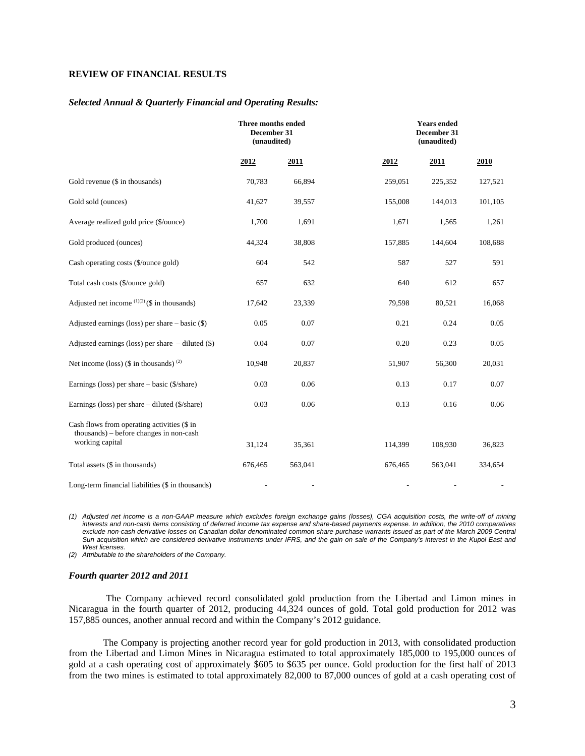# **REVIEW OF FINANCIAL RESULTS**

#### *Selected Annual & Quarterly Financial and Operating Results:*

|                                                                                                           | Three months ended<br>December 31<br>(unaudited) |         |         | <b>Years</b> ended<br>December 31<br>(unaudited) |         |  |  |
|-----------------------------------------------------------------------------------------------------------|--------------------------------------------------|---------|---------|--------------------------------------------------|---------|--|--|
|                                                                                                           | 2012                                             | 2011    | 2012    | 2011                                             | 2010    |  |  |
| Gold revenue (\$ in thousands)                                                                            | 70,783                                           | 66,894  | 259,051 | 225,352                                          | 127,521 |  |  |
| Gold sold (ounces)                                                                                        | 41,627                                           | 39,557  | 155,008 | 144,013                                          | 101,105 |  |  |
| Average realized gold price (\$/ounce)                                                                    | 1,700                                            | 1,691   | 1,671   | 1,565                                            | 1,261   |  |  |
| Gold produced (ounces)                                                                                    | 44,324                                           | 38,808  | 157,885 | 144,604                                          | 108,688 |  |  |
| Cash operating costs (\$/ounce gold)                                                                      | 604                                              | 542     | 587     | 527                                              | 591     |  |  |
| Total cash costs (\$/ounce gold)                                                                          | 657                                              | 632     | 640     | 612                                              | 657     |  |  |
| Adjusted net income $(1)(2)$ (\$ in thousands)                                                            | 17,642                                           | 23,339  | 79,598  | 80,521                                           | 16,068  |  |  |
| Adjusted earnings (loss) per share $-$ basic $(\$)$                                                       | 0.05                                             | 0.07    | 0.21    | 0.24                                             | 0.05    |  |  |
| Adjusted earnings (loss) per share - diluted (\$)                                                         | 0.04                                             | 0.07    | 0.20    | 0.23                                             | 0.05    |  |  |
| Net income (loss) $(\$$ in thousands) <sup>(2)</sup>                                                      | 10,948                                           | 20,837  | 51,907  | 56,300                                           | 20,031  |  |  |
| Earnings (loss) per share – basic (\$/share)                                                              | 0.03                                             | 0.06    | 0.13    | 0.17                                             | 0.07    |  |  |
| Earnings (loss) per share – diluted (\$/share)                                                            | 0.03                                             | 0.06    | 0.13    | 0.16                                             | 0.06    |  |  |
| Cash flows from operating activities (\$ in<br>thousands) - before changes in non-cash<br>working capital |                                                  |         |         |                                                  |         |  |  |
|                                                                                                           | 31,124                                           | 35,361  | 114,399 | 108,930                                          | 36,823  |  |  |
| Total assets (\$ in thousands)                                                                            | 676,465                                          | 563,041 | 676,465 | 563,041                                          | 334,654 |  |  |
| Long-term financial liabilities (\$ in thousands)                                                         |                                                  |         |         |                                                  |         |  |  |

*(1) Adjusted net income is a non-GAAP measure which excludes foreign exchange gains (losses), CGA acquisition costs, the write-off of mining interests and non-cash items consisting of deferred income tax expense and share-based payments expense. In addition, the 2010 comparatives*  exclude non-cash derivative losses on Canadian dollar denominated common share purchase warrants issued as part of the March 2009 Central Sun acquisition which are considered derivative instruments under IFRS, and the gain on sale of the Company's interest in the Kupol East and *West licenses.* 

*(2) Attributable to the shareholders of the Company.* 

#### *Fourth quarter 2012 and 2011*

The Company achieved record consolidated gold production from the Libertad and Limon mines in Nicaragua in the fourth quarter of 2012, producing 44,324 ounces of gold. Total gold production for 2012 was 157,885 ounces, another annual record and within the Company's 2012 guidance.

The Company is projecting another record year for gold production in 2013, with consolidated production from the Libertad and Limon Mines in Nicaragua estimated to total approximately 185,000 to 195,000 ounces of gold at a cash operating cost of approximately \$605 to \$635 per ounce. Gold production for the first half of 2013 from the two mines is estimated to total approximately 82,000 to 87,000 ounces of gold at a cash operating cost of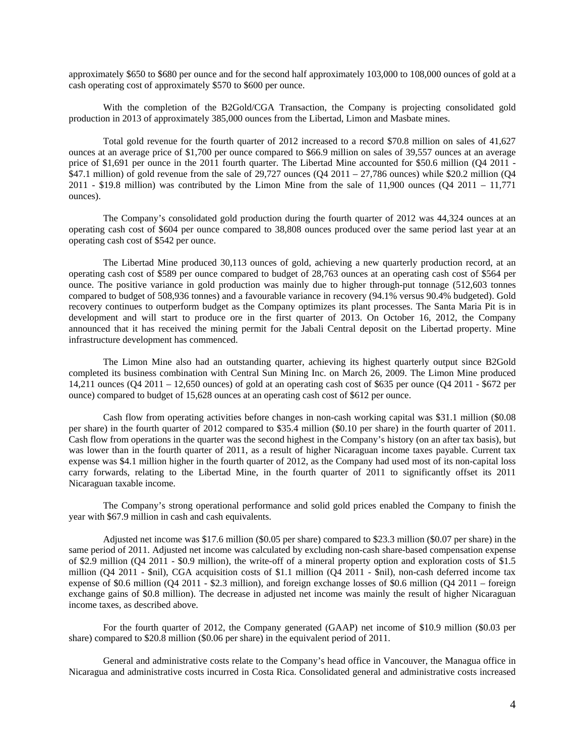approximately \$650 to \$680 per ounce and for the second half approximately 103,000 to 108,000 ounces of gold at a cash operating cost of approximately \$570 to \$600 per ounce.

With the completion of the B2Gold/CGA Transaction, the Company is projecting consolidated gold production in 2013 of approximately 385,000 ounces from the Libertad, Limon and Masbate mines.

Total gold revenue for the fourth quarter of 2012 increased to a record \$70.8 million on sales of 41,627 ounces at an average price of \$1,700 per ounce compared to \$66.9 million on sales of 39,557 ounces at an average price of \$1,691 per ounce in the 2011 fourth quarter. The Libertad Mine accounted for \$50.6 million (Q4 2011 -\$47.1 million) of gold revenue from the sale of 29,727 ounces (Q4 2011 – 27,786 ounces) while \$20.2 million (Q4 2011 - \$19.8 million) was contributed by the Limon Mine from the sale of 11,900 ounces ( $Q_4$  2011 – 11,771 ounces).

The Company's consolidated gold production during the fourth quarter of 2012 was 44,324 ounces at an operating cash cost of \$604 per ounce compared to 38,808 ounces produced over the same period last year at an operating cash cost of \$542 per ounce.

The Libertad Mine produced 30,113 ounces of gold, achieving a new quarterly production record, at an operating cash cost of \$589 per ounce compared to budget of 28,763 ounces at an operating cash cost of \$564 per ounce. The positive variance in gold production was mainly due to higher through-put tonnage (512,603 tonnes compared to budget of 508,936 tonnes) and a favourable variance in recovery (94.1% versus 90.4% budgeted). Gold recovery continues to outperform budget as the Company optimizes its plant processes. The Santa Maria Pit is in development and will start to produce ore in the first quarter of 2013. On October 16, 2012, the Company announced that it has received the mining permit for the Jabali Central deposit on the Libertad property. Mine infrastructure development has commenced.

The Limon Mine also had an outstanding quarter, achieving its highest quarterly output since B2Gold completed its business combination with Central Sun Mining Inc. on March 26, 2009. The Limon Mine produced 14,211 ounces (Q4 2011 – 12,650 ounces) of gold at an operating cash cost of \$635 per ounce (Q4 2011 - \$672 per ounce) compared to budget of 15,628 ounces at an operating cash cost of \$612 per ounce.

Cash flow from operating activities before changes in non-cash working capital was \$31.1 million (\$0.08 per share) in the fourth quarter of 2012 compared to \$35.4 million (\$0.10 per share) in the fourth quarter of 2011. Cash flow from operations in the quarter was the second highest in the Company's history (on an after tax basis), but was lower than in the fourth quarter of 2011, as a result of higher Nicaraguan income taxes payable. Current tax expense was \$4.1 million higher in the fourth quarter of 2012, as the Company had used most of its non-capital loss carry forwards, relating to the Libertad Mine, in the fourth quarter of 2011 to significantly offset its 2011 Nicaraguan taxable income.

The Company's strong operational performance and solid gold prices enabled the Company to finish the year with \$67.9 million in cash and cash equivalents.

Adjusted net income was \$17.6 million (\$0.05 per share) compared to \$23.3 million (\$0.07 per share) in the same period of 2011. Adjusted net income was calculated by excluding non-cash share-based compensation expense of \$2.9 million (Q4 2011 - \$0.9 million), the write-off of a mineral property option and exploration costs of \$1.5 million (Q4 2011 - \$nil), CGA acquisition costs of \$1.1 million (Q4 2011 - \$nil), non-cash deferred income tax expense of \$0.6 million (Q4 2011 - \$2.3 million), and foreign exchange losses of \$0.6 million (Q4 2011 – foreign exchange gains of \$0.8 million). The decrease in adjusted net income was mainly the result of higher Nicaraguan income taxes, as described above.

For the fourth quarter of 2012, the Company generated (GAAP) net income of \$10.9 million (\$0.03 per share) compared to \$20.8 million (\$0.06 per share) in the equivalent period of 2011.

General and administrative costs relate to the Company's head office in Vancouver, the Managua office in Nicaragua and administrative costs incurred in Costa Rica. Consolidated general and administrative costs increased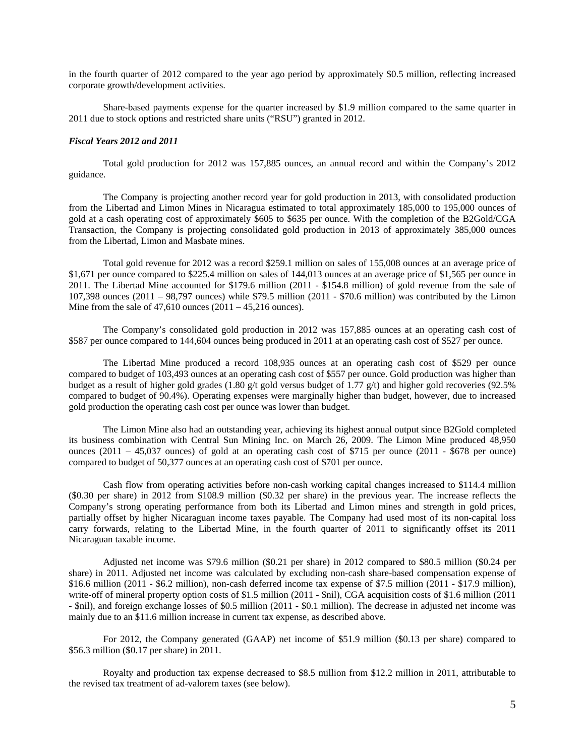in the fourth quarter of 2012 compared to the year ago period by approximately \$0.5 million, reflecting increased corporate growth/development activities.

Share-based payments expense for the quarter increased by \$1.9 million compared to the same quarter in 2011 due to stock options and restricted share units ("RSU") granted in 2012.

## *Fiscal Years 2012 and 2011*

Total gold production for 2012 was 157,885 ounces, an annual record and within the Company's 2012 guidance.

The Company is projecting another record year for gold production in 2013, with consolidated production from the Libertad and Limon Mines in Nicaragua estimated to total approximately 185,000 to 195,000 ounces of gold at a cash operating cost of approximately \$605 to \$635 per ounce. With the completion of the B2Gold/CGA Transaction, the Company is projecting consolidated gold production in 2013 of approximately 385,000 ounces from the Libertad, Limon and Masbate mines.

Total gold revenue for 2012 was a record \$259.1 million on sales of 155,008 ounces at an average price of \$1,671 per ounce compared to \$225.4 million on sales of 144,013 ounces at an average price of \$1,565 per ounce in 2011. The Libertad Mine accounted for \$179.6 million (2011 - \$154.8 million) of gold revenue from the sale of 107,398 ounces (2011 – 98,797 ounces) while \$79.5 million (2011 - \$70.6 million) was contributed by the Limon Mine from the sale of  $47,610$  ounces  $(2011 - 45,216)$  ounces).

The Company's consolidated gold production in 2012 was 157,885 ounces at an operating cash cost of \$587 per ounce compared to 144,604 ounces being produced in 2011 at an operating cash cost of \$527 per ounce.

The Libertad Mine produced a record 108,935 ounces at an operating cash cost of \$529 per ounce compared to budget of 103,493 ounces at an operating cash cost of \$557 per ounce. Gold production was higher than budget as a result of higher gold grades (1.80 g/t gold versus budget of 1.77 g/t) and higher gold recoveries (92.5% compared to budget of 90.4%). Operating expenses were marginally higher than budget, however, due to increased gold production the operating cash cost per ounce was lower than budget.

The Limon Mine also had an outstanding year, achieving its highest annual output since B2Gold completed its business combination with Central Sun Mining Inc. on March 26, 2009. The Limon Mine produced 48,950 ounces (2011 – 45,037 ounces) of gold at an operating cash cost of \$715 per ounce (2011 - \$678 per ounce) compared to budget of 50,377 ounces at an operating cash cost of \$701 per ounce.

Cash flow from operating activities before non-cash working capital changes increased to \$114.4 million (\$0.30 per share) in 2012 from \$108.9 million (\$0.32 per share) in the previous year. The increase reflects the Company's strong operating performance from both its Libertad and Limon mines and strength in gold prices, partially offset by higher Nicaraguan income taxes payable. The Company had used most of its non-capital loss carry forwards, relating to the Libertad Mine, in the fourth quarter of 2011 to significantly offset its 2011 Nicaraguan taxable income.

Adjusted net income was \$79.6 million (\$0.21 per share) in 2012 compared to \$80.5 million (\$0.24 per share) in 2011. Adjusted net income was calculated by excluding non-cash share-based compensation expense of \$16.6 million (2011 - \$6.2 million), non-cash deferred income tax expense of \$7.5 million (2011 - \$17.9 million), write-off of mineral property option costs of \$1.5 million (2011 - \$nil), CGA acquisition costs of \$1.6 million (2011 - \$nil), and foreign exchange losses of \$0.5 million (2011 - \$0.1 million). The decrease in adjusted net income was mainly due to an \$11.6 million increase in current tax expense, as described above.

For 2012, the Company generated (GAAP) net income of \$51.9 million (\$0.13 per share) compared to \$56.3 million (\$0.17 per share) in 2011.

Royalty and production tax expense decreased to \$8.5 million from \$12.2 million in 2011, attributable to the revised tax treatment of ad-valorem taxes (see below).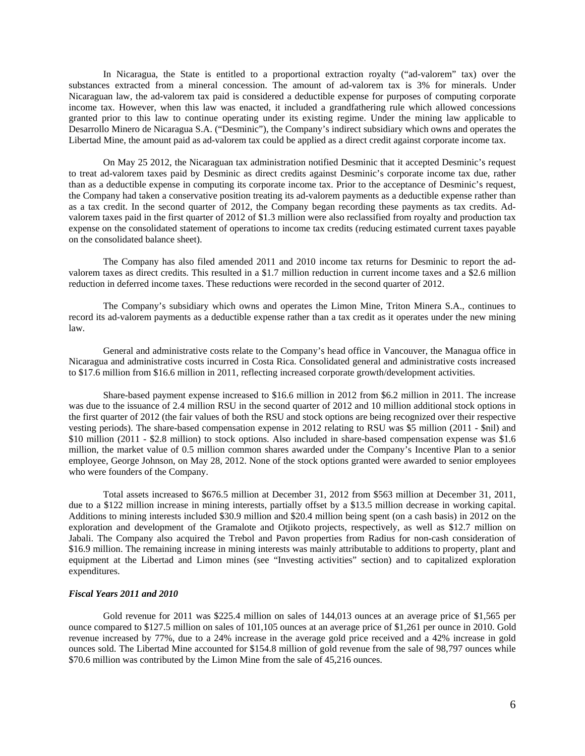In Nicaragua, the State is entitled to a proportional extraction royalty ("ad-valorem" tax) over the substances extracted from a mineral concession. The amount of ad-valorem tax is 3% for minerals. Under Nicaraguan law, the ad-valorem tax paid is considered a deductible expense for purposes of computing corporate income tax. However, when this law was enacted, it included a grandfathering rule which allowed concessions granted prior to this law to continue operating under its existing regime. Under the mining law applicable to Desarrollo Minero de Nicaragua S.A. ("Desminic"), the Company's indirect subsidiary which owns and operates the Libertad Mine, the amount paid as ad-valorem tax could be applied as a direct credit against corporate income tax.

On May 25 2012, the Nicaraguan tax administration notified Desminic that it accepted Desminic's request to treat ad-valorem taxes paid by Desminic as direct credits against Desminic's corporate income tax due, rather than as a deductible expense in computing its corporate income tax. Prior to the acceptance of Desminic's request, the Company had taken a conservative position treating its ad-valorem payments as a deductible expense rather than as a tax credit. In the second quarter of 2012, the Company began recording these payments as tax credits. Advalorem taxes paid in the first quarter of 2012 of \$1.3 million were also reclassified from royalty and production tax expense on the consolidated statement of operations to income tax credits (reducing estimated current taxes payable on the consolidated balance sheet).

The Company has also filed amended 2011 and 2010 income tax returns for Desminic to report the advalorem taxes as direct credits. This resulted in a \$1.7 million reduction in current income taxes and a \$2.6 million reduction in deferred income taxes. These reductions were recorded in the second quarter of 2012.

The Company's subsidiary which owns and operates the Limon Mine, Triton Minera S.A., continues to record its ad-valorem payments as a deductible expense rather than a tax credit as it operates under the new mining law.

General and administrative costs relate to the Company's head office in Vancouver, the Managua office in Nicaragua and administrative costs incurred in Costa Rica. Consolidated general and administrative costs increased to \$17.6 million from \$16.6 million in 2011, reflecting increased corporate growth/development activities.

Share-based payment expense increased to \$16.6 million in 2012 from \$6.2 million in 2011. The increase was due to the issuance of 2.4 million RSU in the second quarter of 2012 and 10 million additional stock options in the first quarter of 2012 (the fair values of both the RSU and stock options are being recognized over their respective vesting periods). The share-based compensation expense in 2012 relating to RSU was \$5 million (2011 - \$nil) and \$10 million (2011 - \$2.8 million) to stock options. Also included in share-based compensation expense was \$1.6 million, the market value of 0.5 million common shares awarded under the Company's Incentive Plan to a senior employee, George Johnson, on May 28, 2012. None of the stock options granted were awarded to senior employees who were founders of the Company.

Total assets increased to \$676.5 million at December 31, 2012 from \$563 million at December 31, 2011, due to a \$122 million increase in mining interests, partially offset by a \$13.5 million decrease in working capital. Additions to mining interests included \$30.9 million and \$20.4 million being spent (on a cash basis) in 2012 on the exploration and development of the Gramalote and Otjikoto projects, respectively, as well as \$12.7 million on Jabali. The Company also acquired the Trebol and Pavon properties from Radius for non-cash consideration of \$16.9 million. The remaining increase in mining interests was mainly attributable to additions to property, plant and equipment at the Libertad and Limon mines (see "Investing activities" section) and to capitalized exploration expenditures.

### *Fiscal Years 2011 and 2010*

Gold revenue for 2011 was \$225.4 million on sales of 144,013 ounces at an average price of \$1,565 per ounce compared to \$127.5 million on sales of 101,105 ounces at an average price of \$1,261 per ounce in 2010. Gold revenue increased by 77%, due to a 24% increase in the average gold price received and a 42% increase in gold ounces sold. The Libertad Mine accounted for \$154.8 million of gold revenue from the sale of 98,797 ounces while \$70.6 million was contributed by the Limon Mine from the sale of 45,216 ounces.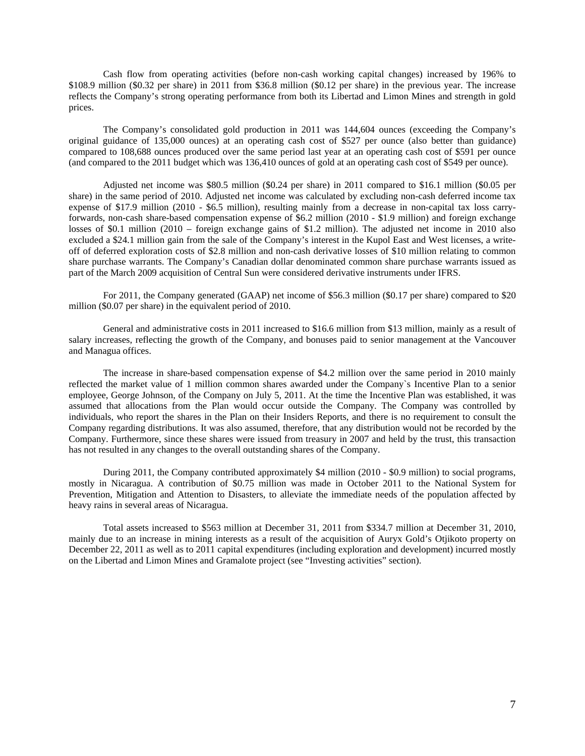Cash flow from operating activities (before non-cash working capital changes) increased by 196% to \$108.9 million (\$0.32 per share) in 2011 from \$36.8 million (\$0.12 per share) in the previous year. The increase reflects the Company's strong operating performance from both its Libertad and Limon Mines and strength in gold prices.

The Company's consolidated gold production in 2011 was 144,604 ounces (exceeding the Company's original guidance of 135,000 ounces) at an operating cash cost of \$527 per ounce (also better than guidance) compared to 108,688 ounces produced over the same period last year at an operating cash cost of \$591 per ounce (and compared to the 2011 budget which was 136,410 ounces of gold at an operating cash cost of \$549 per ounce).

Adjusted net income was \$80.5 million (\$0.24 per share) in 2011 compared to \$16.1 million (\$0.05 per share) in the same period of 2010. Adjusted net income was calculated by excluding non-cash deferred income tax expense of \$17.9 million (2010 - \$6.5 million), resulting mainly from a decrease in non-capital tax loss carryforwards, non-cash share-based compensation expense of \$6.2 million (2010 - \$1.9 million) and foreign exchange losses of \$0.1 million (2010 – foreign exchange gains of \$1.2 million). The adjusted net income in 2010 also excluded a \$24.1 million gain from the sale of the Company's interest in the Kupol East and West licenses, a writeoff of deferred exploration costs of \$2.8 million and non-cash derivative losses of \$10 million relating to common share purchase warrants. The Company's Canadian dollar denominated common share purchase warrants issued as part of the March 2009 acquisition of Central Sun were considered derivative instruments under IFRS.

For 2011, the Company generated (GAAP) net income of \$56.3 million (\$0.17 per share) compared to \$20 million (\$0.07 per share) in the equivalent period of 2010.

General and administrative costs in 2011 increased to \$16.6 million from \$13 million, mainly as a result of salary increases, reflecting the growth of the Company, and bonuses paid to senior management at the Vancouver and Managua offices.

The increase in share-based compensation expense of \$4.2 million over the same period in 2010 mainly reflected the market value of 1 million common shares awarded under the Company`s Incentive Plan to a senior employee, George Johnson, of the Company on July 5, 2011. At the time the Incentive Plan was established, it was assumed that allocations from the Plan would occur outside the Company. The Company was controlled by individuals, who report the shares in the Plan on their Insiders Reports, and there is no requirement to consult the Company regarding distributions. It was also assumed, therefore, that any distribution would not be recorded by the Company. Furthermore, since these shares were issued from treasury in 2007 and held by the trust, this transaction has not resulted in any changes to the overall outstanding shares of the Company.

During 2011, the Company contributed approximately \$4 million (2010 - \$0.9 million) to social programs, mostly in Nicaragua. A contribution of \$0.75 million was made in October 2011 to the National System for Prevention, Mitigation and Attention to Disasters, to alleviate the immediate needs of the population affected by heavy rains in several areas of Nicaragua.

Total assets increased to \$563 million at December 31, 2011 from \$334.7 million at December 31, 2010, mainly due to an increase in mining interests as a result of the acquisition of Auryx Gold's Otjikoto property on December 22, 2011 as well as to 2011 capital expenditures (including exploration and development) incurred mostly on the Libertad and Limon Mines and Gramalote project (see "Investing activities" section).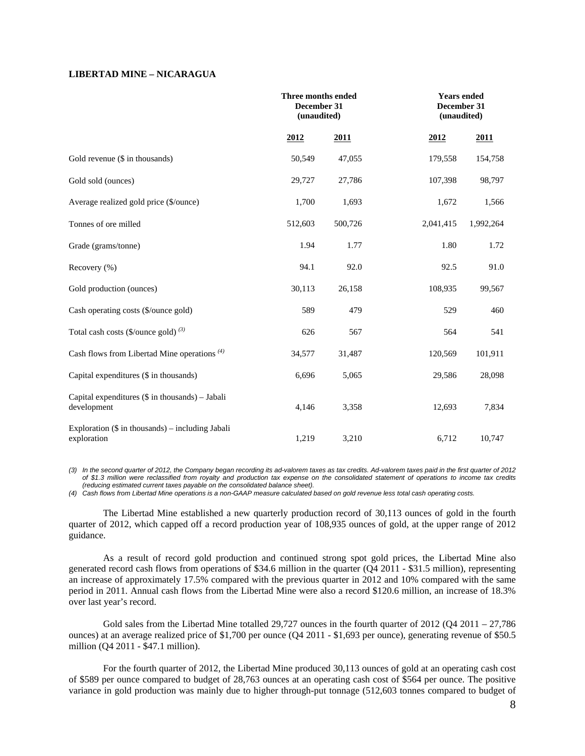## **LIBERTAD MINE – NICARAGUA**

|                                                                   | Three months ended<br>December 31<br>(unaudited) |         |           | <b>Years ended</b><br>December 31<br>(unaudited) |  |
|-------------------------------------------------------------------|--------------------------------------------------|---------|-----------|--------------------------------------------------|--|
|                                                                   | 2012                                             | 2011    | 2012      | 2011                                             |  |
| Gold revenue (\$ in thousands)                                    | 50,549                                           | 47,055  | 179,558   | 154,758                                          |  |
| Gold sold (ounces)                                                | 29,727                                           | 27,786  | 107,398   | 98,797                                           |  |
| Average realized gold price (\$/ounce)                            | 1,700                                            | 1,693   | 1,672     | 1,566                                            |  |
| Tonnes of ore milled                                              | 512,603                                          | 500,726 | 2,041,415 | 1,992,264                                        |  |
| Grade (grams/tonne)                                               | 1.94                                             | 1.77    | 1.80      | 1.72                                             |  |
| Recovery (%)                                                      | 94.1                                             | 92.0    | 92.5      | 91.0                                             |  |
| Gold production (ounces)                                          | 30,113                                           | 26,158  | 108,935   | 99,567                                           |  |
| Cash operating costs (\$/ounce gold)                              | 589                                              | 479     | 529       | 460                                              |  |
| Total cash costs (\$/ounce gold) $(3)$                            | 626                                              | 567     | 564       | 541                                              |  |
| Cash flows from Libertad Mine operations <sup>(4)</sup>           | 34,577                                           | 31,487  | 120,569   | 101,911                                          |  |
| Capital expenditures (\$ in thousands)                            | 6,696                                            | 5,065   | 29,586    | 28,098                                           |  |
| Capital expenditures (\$ in thousands) - Jabali<br>development    | 4,146                                            | 3,358   | 12,693    | 7,834                                            |  |
| Exploration $(\$$ in thousands) – including Jabali<br>exploration | 1,219                                            | 3,210   | 6,712     | 10,747                                           |  |

*(3) In the second quarter of 2012, the Company began recording its ad-valorem taxes as tax credits. Ad-valorem taxes paid in the first quarter of 2012 of \$1.3 million were reclassified from royalty and production tax expense on the consolidated statement of operations to income tax credits (reducing estimated current taxes payable on the consolidated balance sheet).* 

*(4) Cash flows from Libertad Mine operations is a non-GAAP measure calculated based on gold revenue less total cash operating costs.* 

The Libertad Mine established a new quarterly production record of 30,113 ounces of gold in the fourth quarter of 2012, which capped off a record production year of 108,935 ounces of gold, at the upper range of 2012 guidance.

As a result of record gold production and continued strong spot gold prices, the Libertad Mine also generated record cash flows from operations of \$34.6 million in the quarter (Q4 2011 - \$31.5 million), representing an increase of approximately 17.5% compared with the previous quarter in 2012 and 10% compared with the same period in 2011. Annual cash flows from the Libertad Mine were also a record \$120.6 million, an increase of 18.3% over last year's record.

Gold sales from the Libertad Mine totalled 29,727 ounces in the fourth quarter of  $2012 (Q4 2011 - 27,786$ ounces) at an average realized price of \$1,700 per ounce (Q4 2011 - \$1,693 per ounce), generating revenue of \$50.5 million (Q4 2011 - \$47.1 million).

For the fourth quarter of 2012, the Libertad Mine produced 30,113 ounces of gold at an operating cash cost of \$589 per ounce compared to budget of 28,763 ounces at an operating cash cost of \$564 per ounce. The positive variance in gold production was mainly due to higher through-put tonnage (512,603 tonnes compared to budget of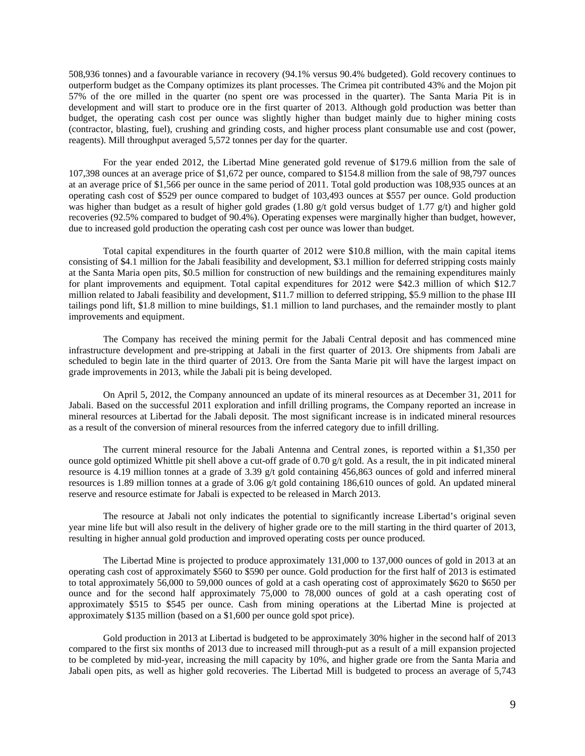508,936 tonnes) and a favourable variance in recovery (94.1% versus 90.4% budgeted). Gold recovery continues to outperform budget as the Company optimizes its plant processes. The Crimea pit contributed 43% and the Mojon pit 57% of the ore milled in the quarter (no spent ore was processed in the quarter). The Santa Maria Pit is in development and will start to produce ore in the first quarter of 2013. Although gold production was better than budget, the operating cash cost per ounce was slightly higher than budget mainly due to higher mining costs (contractor, blasting, fuel), crushing and grinding costs, and higher process plant consumable use and cost (power, reagents). Mill throughput averaged 5,572 tonnes per day for the quarter.

For the year ended 2012, the Libertad Mine generated gold revenue of \$179.6 million from the sale of 107,398 ounces at an average price of \$1,672 per ounce, compared to \$154.8 million from the sale of 98,797 ounces at an average price of \$1,566 per ounce in the same period of 2011. Total gold production was 108,935 ounces at an operating cash cost of \$529 per ounce compared to budget of 103,493 ounces at \$557 per ounce. Gold production was higher than budget as a result of higher gold grades (1.80 g/t gold versus budget of 1.77 g/t) and higher gold recoveries (92.5% compared to budget of 90.4%). Operating expenses were marginally higher than budget, however, due to increased gold production the operating cash cost per ounce was lower than budget.

Total capital expenditures in the fourth quarter of 2012 were \$10.8 million, with the main capital items consisting of \$4.1 million for the Jabali feasibility and development, \$3.1 million for deferred stripping costs mainly at the Santa Maria open pits, \$0.5 million for construction of new buildings and the remaining expenditures mainly for plant improvements and equipment. Total capital expenditures for 2012 were \$42.3 million of which \$12.7 million related to Jabali feasibility and development, \$11.7 million to deferred stripping, \$5.9 million to the phase III tailings pond lift, \$1.8 million to mine buildings, \$1.1 million to land purchases, and the remainder mostly to plant improvements and equipment.

The Company has received the mining permit for the Jabali Central deposit and has commenced mine infrastructure development and pre-stripping at Jabali in the first quarter of 2013. Ore shipments from Jabali are scheduled to begin late in the third quarter of 2013. Ore from the Santa Marie pit will have the largest impact on grade improvements in 2013, while the Jabali pit is being developed.

On April 5, 2012, the Company announced an update of its mineral resources as at December 31, 2011 for Jabali. Based on the successful 2011 exploration and infill drilling programs, the Company reported an increase in mineral resources at Libertad for the Jabali deposit. The most significant increase is in indicated mineral resources as a result of the conversion of mineral resources from the inferred category due to infill drilling.

The current mineral resource for the Jabali Antenna and Central zones, is reported within a \$1,350 per ounce gold optimized Whittle pit shell above a cut-off grade of 0.70  $g/t$  gold. As a result, the in pit indicated mineral resource is 4.19 million tonnes at a grade of 3.39 g/t gold containing 456,863 ounces of gold and inferred mineral resources is 1.89 million tonnes at a grade of 3.06 g/t gold containing 186,610 ounces of gold. An updated mineral reserve and resource estimate for Jabali is expected to be released in March 2013.

The resource at Jabali not only indicates the potential to significantly increase Libertad's original seven year mine life but will also result in the delivery of higher grade ore to the mill starting in the third quarter of 2013, resulting in higher annual gold production and improved operating costs per ounce produced.

The Libertad Mine is projected to produce approximately 131,000 to 137,000 ounces of gold in 2013 at an operating cash cost of approximately \$560 to \$590 per ounce. Gold production for the first half of 2013 is estimated to total approximately 56,000 to 59,000 ounces of gold at a cash operating cost of approximately \$620 to \$650 per ounce and for the second half approximately 75,000 to 78,000 ounces of gold at a cash operating cost of approximately \$515 to \$545 per ounce. Cash from mining operations at the Libertad Mine is projected at approximately \$135 million (based on a \$1,600 per ounce gold spot price).

Gold production in 2013 at Libertad is budgeted to be approximately 30% higher in the second half of 2013 compared to the first six months of 2013 due to increased mill through-put as a result of a mill expansion projected to be completed by mid-year, increasing the mill capacity by 10%, and higher grade ore from the Santa Maria and Jabali open pits, as well as higher gold recoveries. The Libertad Mill is budgeted to process an average of 5,743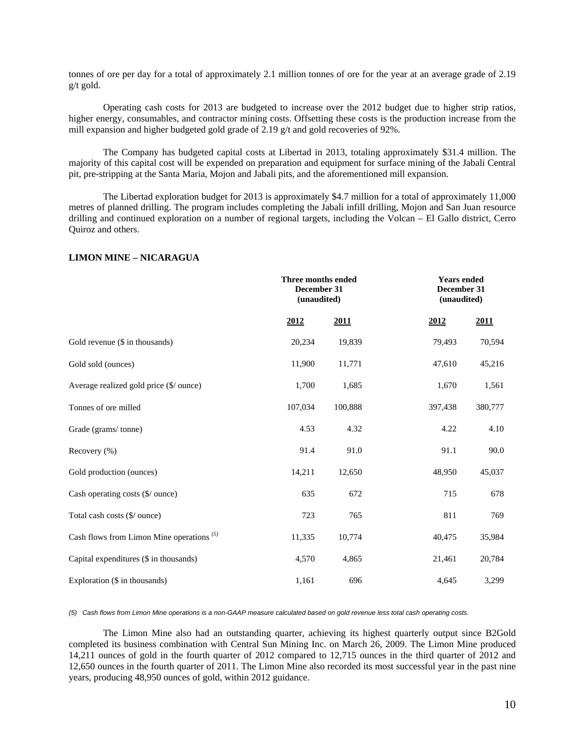tonnes of ore per day for a total of approximately 2.1 million tonnes of ore for the year at an average grade of 2.19 g/t gold.

Operating cash costs for 2013 are budgeted to increase over the 2012 budget due to higher strip ratios, higher energy, consumables, and contractor mining costs. Offsetting these costs is the production increase from the mill expansion and higher budgeted gold grade of 2.19 g/t and gold recoveries of 92%.

The Company has budgeted capital costs at Libertad in 2013, totaling approximately \$31.4 million. The majority of this capital cost will be expended on preparation and equipment for surface mining of the Jabali Central pit, pre-stripping at the Santa Maria, Mojon and Jabali pits, and the aforementioned mill expansion.

The Libertad exploration budget for 2013 is approximately \$4.7 million for a total of approximately 11,000 metres of planned drilling. The program includes completing the Jabali infill drilling, Mojon and San Juan resource drilling and continued exploration on a number of regional targets, including the Volcan – El Gallo district, Cerro Quiroz and others.

## **LIMON MINE – NICARAGUA**

|                                             |         | Three months ended<br>December 31<br>(unaudited) |         | <b>Years</b> ended<br>December 31<br>(unaudited) |  |  |
|---------------------------------------------|---------|--------------------------------------------------|---------|--------------------------------------------------|--|--|
|                                             | 2012    | 2011                                             | 2012    | 2011                                             |  |  |
| Gold revenue (\$ in thousands)              | 20,234  | 19,839                                           | 79,493  | 70,594                                           |  |  |
| Gold sold (ounces)                          | 11,900  | 11,771                                           | 47,610  | 45,216                                           |  |  |
| Average realized gold price (\$/ ounce)     | 1,700   | 1,685                                            | 1,670   | 1,561                                            |  |  |
| Tonnes of ore milled                        | 107,034 | 100,888                                          | 397,438 | 380,777                                          |  |  |
| Grade (grams/tonne)                         | 4.53    | 4.32                                             | 4.22    | 4.10                                             |  |  |
| Recovery (%)                                | 91.4    | 91.0                                             | 91.1    | 90.0                                             |  |  |
| Gold production (ounces)                    | 14,211  | 12,650                                           | 48,950  | 45,037                                           |  |  |
| Cash operating costs (\$/ ounce)            | 635     | 672                                              | 715     | 678                                              |  |  |
| Total cash costs (\$/ ounce)                | 723     | 765                                              | 811     | 769                                              |  |  |
| Cash flows from Limon Mine operations $(5)$ | 11,335  | 10,774                                           | 40,475  | 35,984                                           |  |  |
| Capital expenditures (\$ in thousands)      | 4,570   | 4,865                                            | 21,461  | 20,784                                           |  |  |
| Exploration $(\$$ in thousands)             | 1,161   | 696                                              | 4,645   | 3,299                                            |  |  |

*(5) Cash flows from Limon Mine operations is a non-GAAP measure calculated based on gold revenue less total cash operating costs.* 

The Limon Mine also had an outstanding quarter, achieving its highest quarterly output since B2Gold completed its business combination with Central Sun Mining Inc. on March 26, 2009. The Limon Mine produced 14,211 ounces of gold in the fourth quarter of 2012 compared to 12,715 ounces in the third quarter of 2012 and 12,650 ounces in the fourth quarter of 2011. The Limon Mine also recorded its most successful year in the past nine years, producing 48,950 ounces of gold, within 2012 guidance.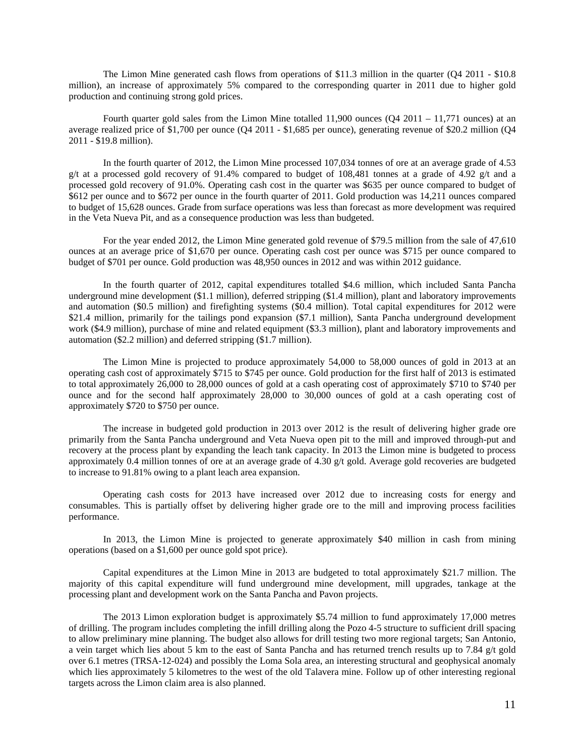The Limon Mine generated cash flows from operations of \$11.3 million in the quarter (Q4 2011 - \$10.8 million), an increase of approximately 5% compared to the corresponding quarter in 2011 due to higher gold production and continuing strong gold prices.

Fourth quarter gold sales from the Limon Mine totalled 11,900 ounces (Q4 2011 – 11,771 ounces) at an average realized price of \$1,700 per ounce (Q4 2011 - \$1,685 per ounce), generating revenue of \$20.2 million (Q4 2011 - \$19.8 million).

In the fourth quarter of 2012, the Limon Mine processed 107,034 tonnes of ore at an average grade of 4.53 g/t at a processed gold recovery of 91.4% compared to budget of 108,481 tonnes at a grade of 4.92 g/t and a processed gold recovery of 91.0%. Operating cash cost in the quarter was \$635 per ounce compared to budget of \$612 per ounce and to \$672 per ounce in the fourth quarter of 2011. Gold production was 14,211 ounces compared to budget of 15,628 ounces. Grade from surface operations was less than forecast as more development was required in the Veta Nueva Pit, and as a consequence production was less than budgeted.

For the year ended 2012, the Limon Mine generated gold revenue of \$79.5 million from the sale of 47,610 ounces at an average price of \$1,670 per ounce. Operating cash cost per ounce was \$715 per ounce compared to budget of \$701 per ounce. Gold production was 48,950 ounces in 2012 and was within 2012 guidance.

In the fourth quarter of 2012, capital expenditures totalled \$4.6 million, which included Santa Pancha underground mine development (\$1.1 million), deferred stripping (\$1.4 million), plant and laboratory improvements and automation (\$0.5 million) and firefighting systems (\$0.4 million). Total capital expenditures for 2012 were \$21.4 million, primarily for the tailings pond expansion (\$7.1 million), Santa Pancha underground development work (\$4.9 million), purchase of mine and related equipment (\$3.3 million), plant and laboratory improvements and automation (\$2.2 million) and deferred stripping (\$1.7 million).

The Limon Mine is projected to produce approximately 54,000 to 58,000 ounces of gold in 2013 at an operating cash cost of approximately \$715 to \$745 per ounce. Gold production for the first half of 2013 is estimated to total approximately 26,000 to 28,000 ounces of gold at a cash operating cost of approximately \$710 to \$740 per ounce and for the second half approximately 28,000 to 30,000 ounces of gold at a cash operating cost of approximately \$720 to \$750 per ounce.

The increase in budgeted gold production in 2013 over 2012 is the result of delivering higher grade ore primarily from the Santa Pancha underground and Veta Nueva open pit to the mill and improved through-put and recovery at the process plant by expanding the leach tank capacity. In 2013 the Limon mine is budgeted to process approximately 0.4 million tonnes of ore at an average grade of 4.30 g/t gold. Average gold recoveries are budgeted to increase to 91.81% owing to a plant leach area expansion.

Operating cash costs for 2013 have increased over 2012 due to increasing costs for energy and consumables. This is partially offset by delivering higher grade ore to the mill and improving process facilities performance.

In 2013, the Limon Mine is projected to generate approximately \$40 million in cash from mining operations (based on a \$1,600 per ounce gold spot price).

Capital expenditures at the Limon Mine in 2013 are budgeted to total approximately \$21.7 million. The majority of this capital expenditure will fund underground mine development, mill upgrades, tankage at the processing plant and development work on the Santa Pancha and Pavon projects.

The 2013 Limon exploration budget is approximately \$5.74 million to fund approximately 17,000 metres of drilling. The program includes completing the infill drilling along the Pozo 4-5 structure to sufficient drill spacing to allow preliminary mine planning. The budget also allows for drill testing two more regional targets; San Antonio, a vein target which lies about 5 km to the east of Santa Pancha and has returned trench results up to 7.84 g/t gold over 6.1 metres (TRSA-12-024) and possibly the Loma Sola area, an interesting structural and geophysical anomaly which lies approximately 5 kilometres to the west of the old Talavera mine. Follow up of other interesting regional targets across the Limon claim area is also planned.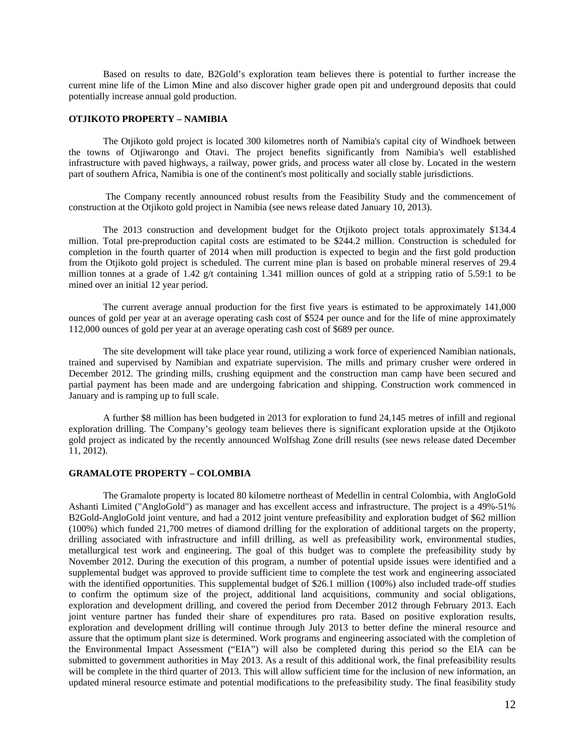Based on results to date, B2Gold's exploration team believes there is potential to further increase the current mine life of the Limon Mine and also discover higher grade open pit and underground deposits that could potentially increase annual gold production.

## **OTJIKOTO PROPERTY – NAMIBIA**

The Otjikoto gold project is located 300 kilometres north of Namibia's capital city of Windhoek between the towns of Otjiwarongo and Otavi. The project benefits significantly from Namibia's well established infrastructure with paved highways, a railway, power grids, and process water all close by. Located in the western part of southern Africa, Namibia is one of the continent's most politically and socially stable jurisdictions.

 The Company recently announced robust results from the Feasibility Study and the commencement of construction at the Otjikoto gold project in Namibia (see news release dated January 10, 2013).

The 2013 construction and development budget for the Otjikoto project totals approximately \$134.4 million. Total pre-preproduction capital costs are estimated to be \$244.2 million. Construction is scheduled for completion in the fourth quarter of 2014 when mill production is expected to begin and the first gold production from the Otjikoto gold project is scheduled. The current mine plan is based on probable mineral reserves of 29.4 million tonnes at a grade of 1.42 g/t containing 1.341 million ounces of gold at a stripping ratio of 5.59:1 to be mined over an initial 12 year period.

The current average annual production for the first five years is estimated to be approximately 141,000 ounces of gold per year at an average operating cash cost of \$524 per ounce and for the life of mine approximately 112,000 ounces of gold per year at an average operating cash cost of \$689 per ounce.

The site development will take place year round, utilizing a work force of experienced Namibian nationals, trained and supervised by Namibian and expatriate supervision. The mills and primary crusher were ordered in December 2012. The grinding mills, crushing equipment and the construction man camp have been secured and partial payment has been made and are undergoing fabrication and shipping. Construction work commenced in January and is ramping up to full scale.

A further \$8 million has been budgeted in 2013 for exploration to fund 24,145 metres of infill and regional exploration drilling. The Company's geology team believes there is significant exploration upside at the Otjikoto gold project as indicated by the recently announced Wolfshag Zone drill results (see news release dated December 11, 2012).

## **GRAMALOTE PROPERTY – COLOMBIA**

The Gramalote property is located 80 kilometre northeast of Medellin in central Colombia, with AngloGold Ashanti Limited ("AngloGold") as manager and has excellent access and infrastructure. The project is a 49%-51% B2Gold-AngloGold joint venture, and had a 2012 joint venture prefeasibility and exploration budget of \$62 million (100%) which funded 21,700 metres of diamond drilling for the exploration of additional targets on the property, drilling associated with infrastructure and infill drilling, as well as prefeasibility work, environmental studies, metallurgical test work and engineering. The goal of this budget was to complete the prefeasibility study by November 2012. During the execution of this program, a number of potential upside issues were identified and a supplemental budget was approved to provide sufficient time to complete the test work and engineering associated with the identified opportunities. This supplemental budget of \$26.1 million (100%) also included trade-off studies to confirm the optimum size of the project, additional land acquisitions, community and social obligations, exploration and development drilling, and covered the period from December 2012 through February 2013. Each joint venture partner has funded their share of expenditures pro rata. Based on positive exploration results, exploration and development drilling will continue through July 2013 to better define the mineral resource and assure that the optimum plant size is determined. Work programs and engineering associated with the completion of the Environmental Impact Assessment ("EIA") will also be completed during this period so the EIA can be submitted to government authorities in May 2013. As a result of this additional work, the final prefeasibility results will be complete in the third quarter of 2013. This will allow sufficient time for the inclusion of new information, an updated mineral resource estimate and potential modifications to the prefeasibility study. The final feasibility study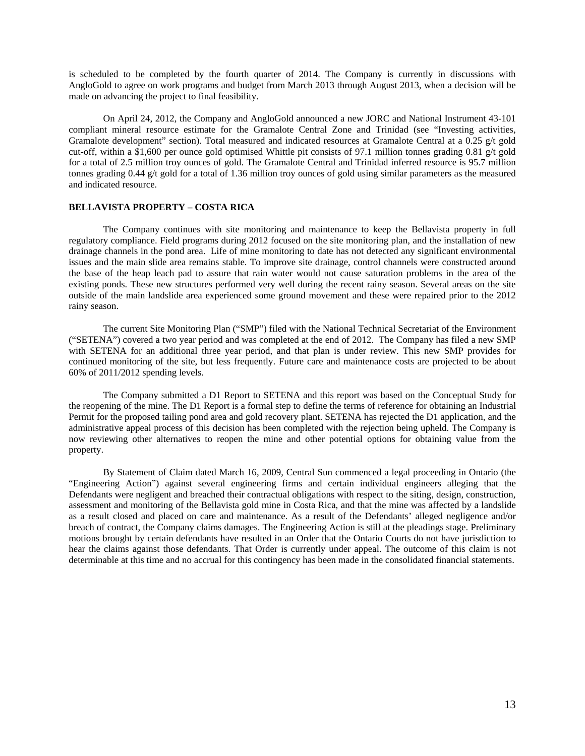is scheduled to be completed by the fourth quarter of 2014. The Company is currently in discussions with AngloGold to agree on work programs and budget from March 2013 through August 2013, when a decision will be made on advancing the project to final feasibility.

On April 24, 2012, the Company and AngloGold announced a new JORC and National Instrument 43-101 compliant mineral resource estimate for the Gramalote Central Zone and Trinidad (see "Investing activities, Gramalote development" section). Total measured and indicated resources at Gramalote Central at a 0.25 g/t gold cut-off, within a \$1,600 per ounce gold optimised Whittle pit consists of 97.1 million tonnes grading 0.81 g/t gold for a total of 2.5 million troy ounces of gold. The Gramalote Central and Trinidad inferred resource is 95.7 million tonnes grading 0.44 g/t gold for a total of 1.36 million troy ounces of gold using similar parameters as the measured and indicated resource.

## **BELLAVISTA PROPERTY – COSTA RICA**

The Company continues with site monitoring and maintenance to keep the Bellavista property in full regulatory compliance. Field programs during 2012 focused on the site monitoring plan, and the installation of new drainage channels in the pond area. Life of mine monitoring to date has not detected any significant environmental issues and the main slide area remains stable. To improve site drainage, control channels were constructed around the base of the heap leach pad to assure that rain water would not cause saturation problems in the area of the existing ponds. These new structures performed very well during the recent rainy season. Several areas on the site outside of the main landslide area experienced some ground movement and these were repaired prior to the 2012 rainy season.

The current Site Monitoring Plan ("SMP") filed with the National Technical Secretariat of the Environment ("SETENA") covered a two year period and was completed at the end of 2012. The Company has filed a new SMP with SETENA for an additional three year period, and that plan is under review. This new SMP provides for continued monitoring of the site, but less frequently. Future care and maintenance costs are projected to be about 60% of 2011/2012 spending levels.

The Company submitted a D1 Report to SETENA and this report was based on the Conceptual Study for the reopening of the mine. The D1 Report is a formal step to define the terms of reference for obtaining an Industrial Permit for the proposed tailing pond area and gold recovery plant. SETENA has rejected the D1 application, and the administrative appeal process of this decision has been completed with the rejection being upheld. The Company is now reviewing other alternatives to reopen the mine and other potential options for obtaining value from the property.

By Statement of Claim dated March 16, 2009, Central Sun commenced a legal proceeding in Ontario (the "Engineering Action") against several engineering firms and certain individual engineers alleging that the Defendants were negligent and breached their contractual obligations with respect to the siting, design, construction, assessment and monitoring of the Bellavista gold mine in Costa Rica, and that the mine was affected by a landslide as a result closed and placed on care and maintenance. As a result of the Defendants' alleged negligence and/or breach of contract, the Company claims damages. The Engineering Action is still at the pleadings stage. Preliminary motions brought by certain defendants have resulted in an Order that the Ontario Courts do not have jurisdiction to hear the claims against those defendants. That Order is currently under appeal. The outcome of this claim is not determinable at this time and no accrual for this contingency has been made in the consolidated financial statements.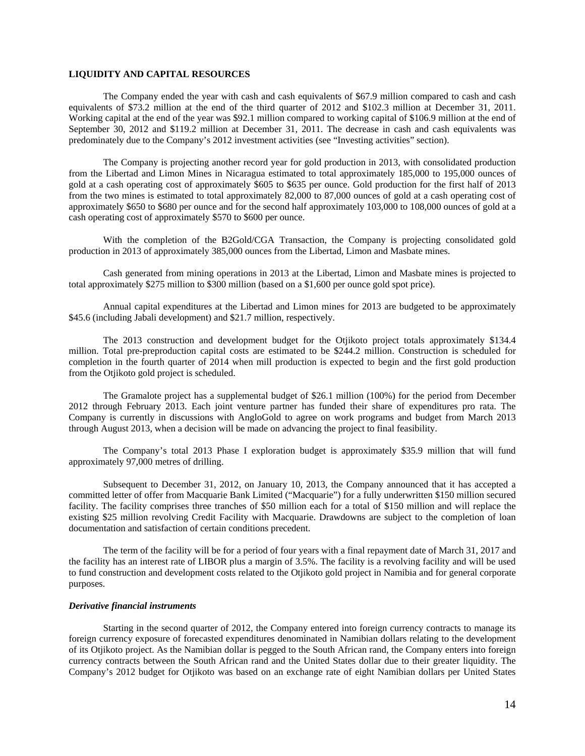## **LIQUIDITY AND CAPITAL RESOURCES**

The Company ended the year with cash and cash equivalents of \$67.9 million compared to cash and cash equivalents of \$73.2 million at the end of the third quarter of 2012 and \$102.3 million at December 31, 2011. Working capital at the end of the year was \$92.1 million compared to working capital of \$106.9 million at the end of September 30, 2012 and \$119.2 million at December 31, 2011. The decrease in cash and cash equivalents was predominately due to the Company's 2012 investment activities (see "Investing activities" section).

The Company is projecting another record year for gold production in 2013, with consolidated production from the Libertad and Limon Mines in Nicaragua estimated to total approximately 185,000 to 195,000 ounces of gold at a cash operating cost of approximately \$605 to \$635 per ounce. Gold production for the first half of 2013 from the two mines is estimated to total approximately 82,000 to 87,000 ounces of gold at a cash operating cost of approximately \$650 to \$680 per ounce and for the second half approximately 103,000 to 108,000 ounces of gold at a cash operating cost of approximately \$570 to \$600 per ounce.

With the completion of the B2Gold/CGA Transaction, the Company is projecting consolidated gold production in 2013 of approximately 385,000 ounces from the Libertad, Limon and Masbate mines.

Cash generated from mining operations in 2013 at the Libertad, Limon and Masbate mines is projected to total approximately \$275 million to \$300 million (based on a \$1,600 per ounce gold spot price).

Annual capital expenditures at the Libertad and Limon mines for 2013 are budgeted to be approximately \$45.6 (including Jabali development) and \$21.7 million, respectively.

The 2013 construction and development budget for the Otjikoto project totals approximately \$134.4 million. Total pre-preproduction capital costs are estimated to be \$244.2 million. Construction is scheduled for completion in the fourth quarter of 2014 when mill production is expected to begin and the first gold production from the Otjikoto gold project is scheduled.

The Gramalote project has a supplemental budget of \$26.1 million (100%) for the period from December 2012 through February 2013. Each joint venture partner has funded their share of expenditures pro rata. The Company is currently in discussions with AngloGold to agree on work programs and budget from March 2013 through August 2013, when a decision will be made on advancing the project to final feasibility.

The Company's total 2013 Phase I exploration budget is approximately \$35.9 million that will fund approximately 97,000 metres of drilling.

Subsequent to December 31, 2012, on January 10, 2013, the Company announced that it has accepted a committed letter of offer from Macquarie Bank Limited ("Macquarie") for a fully underwritten \$150 million secured facility. The facility comprises three tranches of \$50 million each for a total of \$150 million and will replace the existing \$25 million revolving Credit Facility with Macquarie. Drawdowns are subject to the completion of loan documentation and satisfaction of certain conditions precedent.

The term of the facility will be for a period of four years with a final repayment date of March 31, 2017 and the facility has an interest rate of LIBOR plus a margin of 3.5%. The facility is a revolving facility and will be used to fund construction and development costs related to the Otjikoto gold project in Namibia and for general corporate purposes.

#### *Derivative financial instruments*

Starting in the second quarter of 2012, the Company entered into foreign currency contracts to manage its foreign currency exposure of forecasted expenditures denominated in Namibian dollars relating to the development of its Otjikoto project. As the Namibian dollar is pegged to the South African rand, the Company enters into foreign currency contracts between the South African rand and the United States dollar due to their greater liquidity. The Company's 2012 budget for Otjikoto was based on an exchange rate of eight Namibian dollars per United States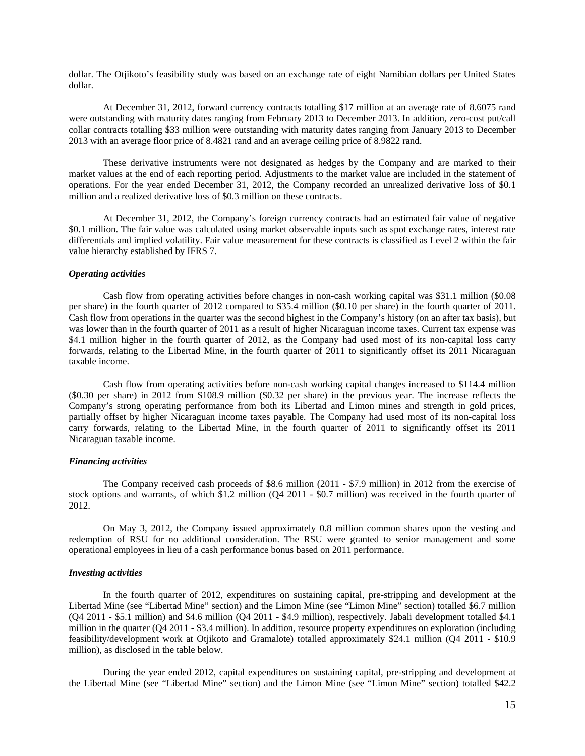dollar. The Otjikoto's feasibility study was based on an exchange rate of eight Namibian dollars per United States dollar.

At December 31, 2012, forward currency contracts totalling \$17 million at an average rate of 8.6075 rand were outstanding with maturity dates ranging from February 2013 to December 2013. In addition, zero-cost put/call collar contracts totalling \$33 million were outstanding with maturity dates ranging from January 2013 to December 2013 with an average floor price of 8.4821 rand and an average ceiling price of 8.9822 rand.

These derivative instruments were not designated as hedges by the Company and are marked to their market values at the end of each reporting period. Adjustments to the market value are included in the statement of operations. For the year ended December 31, 2012, the Company recorded an unrealized derivative loss of \$0.1 million and a realized derivative loss of \$0.3 million on these contracts.

At December 31, 2012, the Company's foreign currency contracts had an estimated fair value of negative \$0.1 million. The fair value was calculated using market observable inputs such as spot exchange rates, interest rate differentials and implied volatility. Fair value measurement for these contracts is classified as Level 2 within the fair value hierarchy established by IFRS 7.

#### *Operating activities*

Cash flow from operating activities before changes in non-cash working capital was \$31.1 million (\$0.08 per share) in the fourth quarter of 2012 compared to \$35.4 million (\$0.10 per share) in the fourth quarter of 2011. Cash flow from operations in the quarter was the second highest in the Company's history (on an after tax basis), but was lower than in the fourth quarter of 2011 as a result of higher Nicaraguan income taxes. Current tax expense was \$4.1 million higher in the fourth quarter of 2012, as the Company had used most of its non-capital loss carry forwards, relating to the Libertad Mine, in the fourth quarter of 2011 to significantly offset its 2011 Nicaraguan taxable income.

Cash flow from operating activities before non-cash working capital changes increased to \$114.4 million (\$0.30 per share) in 2012 from \$108.9 million (\$0.32 per share) in the previous year. The increase reflects the Company's strong operating performance from both its Libertad and Limon mines and strength in gold prices, partially offset by higher Nicaraguan income taxes payable. The Company had used most of its non-capital loss carry forwards, relating to the Libertad Mine, in the fourth quarter of 2011 to significantly offset its 2011 Nicaraguan taxable income.

### *Financing activities*

The Company received cash proceeds of \$8.6 million (2011 - \$7.9 million) in 2012 from the exercise of stock options and warrants, of which \$1.2 million (Q4 2011 - \$0.7 million) was received in the fourth quarter of 2012.

On May 3, 2012, the Company issued approximately 0.8 million common shares upon the vesting and redemption of RSU for no additional consideration. The RSU were granted to senior management and some operational employees in lieu of a cash performance bonus based on 2011 performance.

## *Investing activities*

In the fourth quarter of 2012, expenditures on sustaining capital, pre-stripping and development at the Libertad Mine (see "Libertad Mine" section) and the Limon Mine (see "Limon Mine" section) totalled \$6.7 million (Q4 2011 - \$5.1 million) and \$4.6 million (Q4 2011 - \$4.9 million), respectively. Jabali development totalled \$4.1 million in the quarter (Q4 2011 - \$3.4 million). In addition, resource property expenditures on exploration (including feasibility/development work at Otjikoto and Gramalote) totalled approximately \$24.1 million (Q4 2011 - \$10.9 million), as disclosed in the table below.

During the year ended 2012, capital expenditures on sustaining capital, pre-stripping and development at the Libertad Mine (see "Libertad Mine" section) and the Limon Mine (see "Limon Mine" section) totalled \$42.2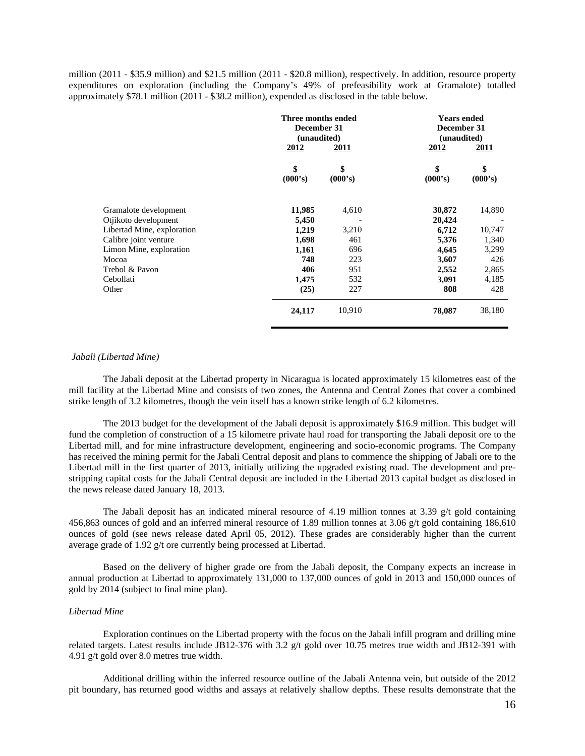million (2011 - \$35.9 million) and \$21.5 million (2011 - \$20.8 million), respectively. In addition, resource property expenditures on exploration (including the Company's 49% of prefeasibility work at Gramalote) totalled approximately \$78.1 million (2011 - \$38.2 million), expended as disclosed in the table below.

|                            | Three months ended<br>December 31<br>(unaudited)<br><u>2012</u> | <u>2011</u>   | <b>Years ended</b><br>December 31<br>(unaudited)<br>2012 | 2011          |  |
|----------------------------|-----------------------------------------------------------------|---------------|----------------------------------------------------------|---------------|--|
|                            | \$<br>(000's)                                                   | \$<br>(000's) | \$<br>(000's)                                            | \$<br>(000's) |  |
| Gramalote development      | 11,985                                                          | 4,610         | 30,872                                                   | 14,890        |  |
| Otjikoto development       | 5,450                                                           |               | 20,424                                                   |               |  |
| Libertad Mine, exploration | 1,219                                                           | 3,210         | 6,712                                                    | 10,747        |  |
| Calibre joint venture      | 1,698                                                           | 461           | 5,376                                                    | 1,340         |  |
| Limon Mine, exploration    | 1,161                                                           | 696           | 4,645                                                    | 3,299         |  |
| Mocoa                      | 748                                                             | 223           | 3,607                                                    | 426           |  |
| Trebol & Pavon             | 406                                                             | 951           | 2,552                                                    | 2,865         |  |
| Cebollati                  | 1,475                                                           | 532           | 3,091                                                    | 4,185         |  |
| Other                      | (25)                                                            | 227           | 808                                                      | 428           |  |
|                            | 24,117                                                          | 10,910        | 78,087                                                   | 38,180        |  |

### *Jabali (Libertad Mine)*

The Jabali deposit at the Libertad property in Nicaragua is located approximately 15 kilometres east of the mill facility at the Libertad Mine and consists of two zones, the Antenna and Central Zones that cover a combined strike length of 3.2 kilometres, though the vein itself has a known strike length of 6.2 kilometres.

The 2013 budget for the development of the Jabali deposit is approximately \$16.9 million. This budget will fund the completion of construction of a 15 kilometre private haul road for transporting the Jabali deposit ore to the Libertad mill, and for mine infrastructure development, engineering and socio-economic programs. The Company has received the mining permit for the Jabali Central deposit and plans to commence the shipping of Jabali ore to the Libertad mill in the first quarter of 2013, initially utilizing the upgraded existing road. The development and prestripping capital costs for the Jabali Central deposit are included in the Libertad 2013 capital budget as disclosed in the news release dated January 18, 2013.

The Jabali deposit has an indicated mineral resource of 4.19 million tonnes at 3.39 g/t gold containing 456,863 ounces of gold and an inferred mineral resource of 1.89 million tonnes at 3.06 g/t gold containing 186,610 ounces of gold (see news release dated April 05, 2012). These grades are considerably higher than the current average grade of 1.92 g/t ore currently being processed at Libertad.

Based on the delivery of higher grade ore from the Jabali deposit, the Company expects an increase in annual production at Libertad to approximately 131,000 to 137,000 ounces of gold in 2013 and 150,000 ounces of gold by 2014 (subject to final mine plan).

## *Libertad Mine*

Exploration continues on the Libertad property with the focus on the Jabali infill program and drilling mine related targets. Latest results include JB12-376 with 3.2 g/t gold over 10.75 metres true width and JB12-391 with 4.91 g/t gold over 8.0 metres true width.

Additional drilling within the inferred resource outline of the Jabali Antenna vein, but outside of the 2012 pit boundary, has returned good widths and assays at relatively shallow depths. These results demonstrate that the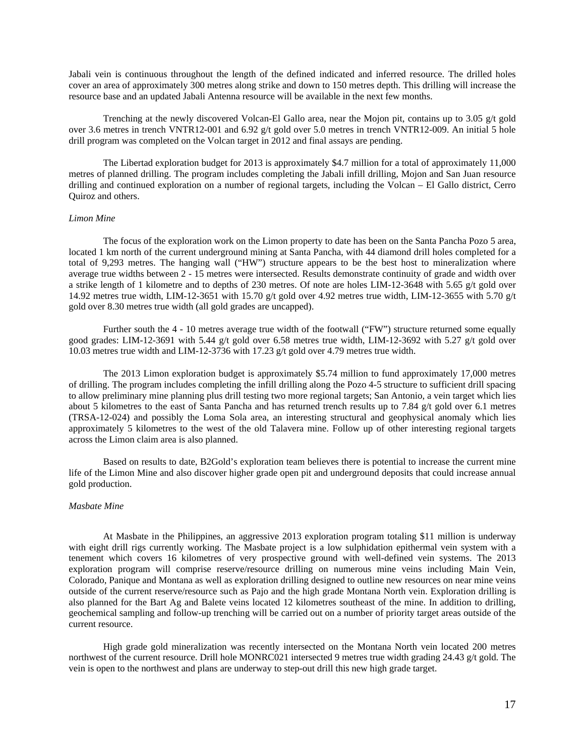Jabali vein is continuous throughout the length of the defined indicated and inferred resource. The drilled holes cover an area of approximately 300 metres along strike and down to 150 metres depth. This drilling will increase the resource base and an updated Jabali Antenna resource will be available in the next few months.

Trenching at the newly discovered Volcan-El Gallo area, near the Mojon pit, contains up to 3.05 g/t gold over 3.6 metres in trench VNTR12-001 and 6.92 g/t gold over 5.0 metres in trench VNTR12-009. An initial 5 hole drill program was completed on the Volcan target in 2012 and final assays are pending.

The Libertad exploration budget for 2013 is approximately \$4.7 million for a total of approximately 11,000 metres of planned drilling. The program includes completing the Jabali infill drilling, Mojon and San Juan resource drilling and continued exploration on a number of regional targets, including the Volcan – El Gallo district, Cerro Quiroz and others.

#### *Limon Mine*

The focus of the exploration work on the Limon property to date has been on the Santa Pancha Pozo 5 area, located 1 km north of the current underground mining at Santa Pancha, with 44 diamond drill holes completed for a total of 9,293 metres. The hanging wall ("HW") structure appears to be the best host to mineralization where average true widths between 2 - 15 metres were intersected. Results demonstrate continuity of grade and width over a strike length of 1 kilometre and to depths of 230 metres. Of note are holes LIM-12-3648 with 5.65 g/t gold over 14.92 metres true width, LIM-12-3651 with 15.70 g/t gold over 4.92 metres true width, LIM-12-3655 with 5.70 g/t gold over 8.30 metres true width (all gold grades are uncapped).

Further south the 4 - 10 metres average true width of the footwall ("FW") structure returned some equally good grades: LIM-12-3691 with 5.44 g/t gold over 6.58 metres true width, LIM-12-3692 with 5.27 g/t gold over 10.03 metres true width and LIM-12-3736 with 17.23 g/t gold over 4.79 metres true width.

The 2013 Limon exploration budget is approximately \$5.74 million to fund approximately 17,000 metres of drilling. The program includes completing the infill drilling along the Pozo 4-5 structure to sufficient drill spacing to allow preliminary mine planning plus drill testing two more regional targets; San Antonio, a vein target which lies about 5 kilometres to the east of Santa Pancha and has returned trench results up to 7.84  $g/t$  gold over 6.1 metres (TRSA-12-024) and possibly the Loma Sola area, an interesting structural and geophysical anomaly which lies approximately 5 kilometres to the west of the old Talavera mine. Follow up of other interesting regional targets across the Limon claim area is also planned.

Based on results to date, B2Gold's exploration team believes there is potential to increase the current mine life of the Limon Mine and also discover higher grade open pit and underground deposits that could increase annual gold production.

### *Masbate Mine*

At Masbate in the Philippines, an aggressive 2013 exploration program totaling \$11 million is underway with eight drill rigs currently working. The Masbate project is a low sulphidation epithermal vein system with a tenement which covers 16 kilometres of very prospective ground with well-defined vein systems. The 2013 exploration program will comprise reserve/resource drilling on numerous mine veins including Main Vein, Colorado, Panique and Montana as well as exploration drilling designed to outline new resources on near mine veins outside of the current reserve/resource such as Pajo and the high grade Montana North vein. Exploration drilling is also planned for the Bart Ag and Balete veins located 12 kilometres southeast of the mine. In addition to drilling, geochemical sampling and follow-up trenching will be carried out on a number of priority target areas outside of the current resource.

High grade gold mineralization was recently intersected on the Montana North vein located 200 metres northwest of the current resource. Drill hole MONRC021 intersected 9 metres true width grading 24.43 g/t gold. The vein is open to the northwest and plans are underway to step-out drill this new high grade target.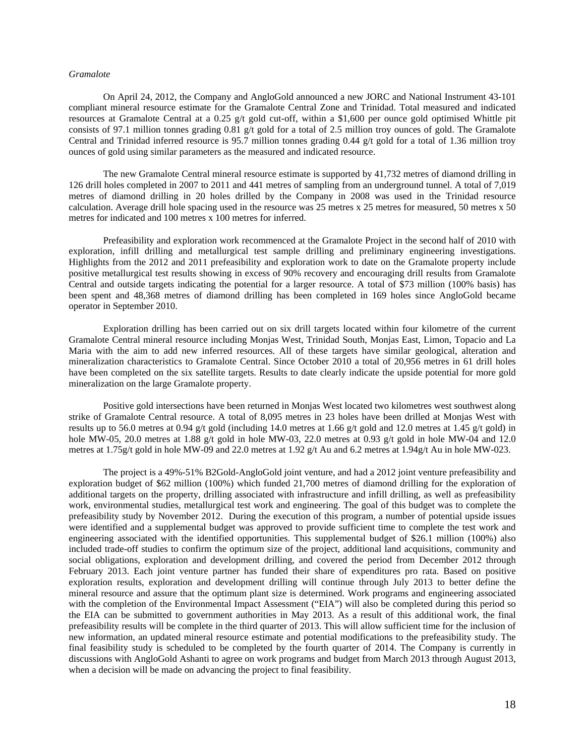## *Gramalote*

On April 24, 2012, the Company and AngloGold announced a new JORC and National Instrument 43-101 compliant mineral resource estimate for the Gramalote Central Zone and Trinidad. Total measured and indicated resources at Gramalote Central at a 0.25 g/t gold cut-off, within a \$1,600 per ounce gold optimised Whittle pit consists of 97.1 million tonnes grading 0.81 g/t gold for a total of 2.5 million troy ounces of gold. The Gramalote Central and Trinidad inferred resource is 95.7 million tonnes grading 0.44 g/t gold for a total of 1.36 million troy ounces of gold using similar parameters as the measured and indicated resource.

The new Gramalote Central mineral resource estimate is supported by 41,732 metres of diamond drilling in 126 drill holes completed in 2007 to 2011 and 441 metres of sampling from an underground tunnel. A total of 7,019 metres of diamond drilling in 20 holes drilled by the Company in 2008 was used in the Trinidad resource calculation. Average drill hole spacing used in the resource was 25 metres x 25 metres for measured, 50 metres x 50 metres for indicated and 100 metres x 100 metres for inferred.

Prefeasibility and exploration work recommenced at the Gramalote Project in the second half of 2010 with exploration, infill drilling and metallurgical test sample drilling and preliminary engineering investigations. Highlights from the 2012 and 2011 prefeasibility and exploration work to date on the Gramalote property include positive metallurgical test results showing in excess of 90% recovery and encouraging drill results from Gramalote Central and outside targets indicating the potential for a larger resource. A total of \$73 million (100% basis) has been spent and 48,368 metres of diamond drilling has been completed in 169 holes since AngloGold became operator in September 2010.

Exploration drilling has been carried out on six drill targets located within four kilometre of the current Gramalote Central mineral resource including Monjas West, Trinidad South, Monjas East, Limon, Topacio and La Maria with the aim to add new inferred resources. All of these targets have similar geological, alteration and mineralization characteristics to Gramalote Central. Since October 2010 a total of 20,956 metres in 61 drill holes have been completed on the six satellite targets. Results to date clearly indicate the upside potential for more gold mineralization on the large Gramalote property.

Positive gold intersections have been returned in Monjas West located two kilometres west southwest along strike of Gramalote Central resource. A total of 8,095 metres in 23 holes have been drilled at Monjas West with results up to 56.0 metres at 0.94 g/t gold (including 14.0 metres at 1.66 g/t gold and 12.0 metres at 1.45 g/t gold) in hole MW-05, 20.0 metres at 1.88 g/t gold in hole MW-03, 22.0 metres at 0.93 g/t gold in hole MW-04 and 12.0 metres at 1.75g/t gold in hole MW-09 and 22.0 metres at 1.92 g/t Au and 6.2 metres at 1.94g/t Au in hole MW-023.

The project is a 49%-51% B2Gold-AngloGold joint venture, and had a 2012 joint venture prefeasibility and exploration budget of \$62 million (100%) which funded 21,700 metres of diamond drilling for the exploration of additional targets on the property, drilling associated with infrastructure and infill drilling, as well as prefeasibility work, environmental studies, metallurgical test work and engineering. The goal of this budget was to complete the prefeasibility study by November 2012. During the execution of this program, a number of potential upside issues were identified and a supplemental budget was approved to provide sufficient time to complete the test work and engineering associated with the identified opportunities. This supplemental budget of \$26.1 million (100%) also included trade-off studies to confirm the optimum size of the project, additional land acquisitions, community and social obligations, exploration and development drilling, and covered the period from December 2012 through February 2013. Each joint venture partner has funded their share of expenditures pro rata. Based on positive exploration results, exploration and development drilling will continue through July 2013 to better define the mineral resource and assure that the optimum plant size is determined. Work programs and engineering associated with the completion of the Environmental Impact Assessment ("EIA") will also be completed during this period so the EIA can be submitted to government authorities in May 2013. As a result of this additional work, the final prefeasibility results will be complete in the third quarter of 2013. This will allow sufficient time for the inclusion of new information, an updated mineral resource estimate and potential modifications to the prefeasibility study. The final feasibility study is scheduled to be completed by the fourth quarter of 2014. The Company is currently in discussions with AngloGold Ashanti to agree on work programs and budget from March 2013 through August 2013, when a decision will be made on advancing the project to final feasibility.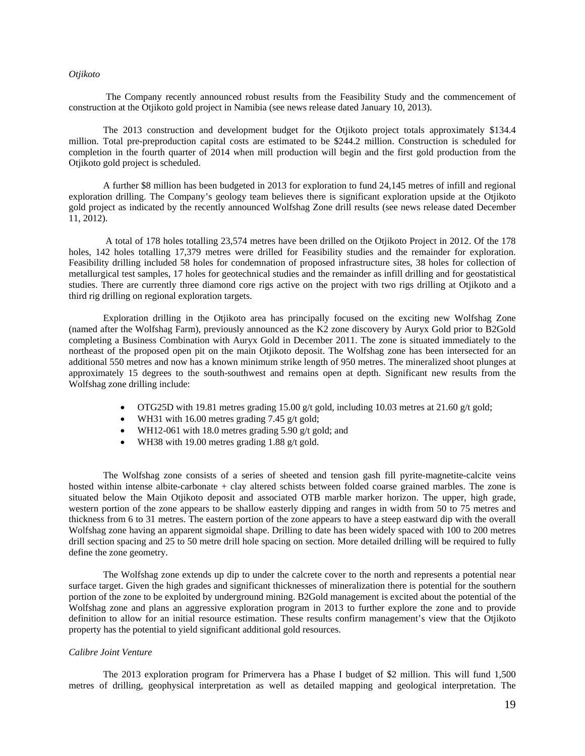## *Otjikoto*

The Company recently announced robust results from the Feasibility Study and the commencement of construction at the Otjikoto gold project in Namibia (see news release dated January 10, 2013).

The 2013 construction and development budget for the Otjikoto project totals approximately \$134.4 million. Total pre-preproduction capital costs are estimated to be \$244.2 million. Construction is scheduled for completion in the fourth quarter of 2014 when mill production will begin and the first gold production from the Otjikoto gold project is scheduled.

A further \$8 million has been budgeted in 2013 for exploration to fund 24,145 metres of infill and regional exploration drilling. The Company's geology team believes there is significant exploration upside at the Otjikoto gold project as indicated by the recently announced Wolfshag Zone drill results (see news release dated December 11, 2012).

 A total of 178 holes totalling 23,574 metres have been drilled on the Otjikoto Project in 2012. Of the 178 holes, 142 holes totalling 17,379 metres were drilled for Feasibility studies and the remainder for exploration. Feasibility drilling included 58 holes for condemnation of proposed infrastructure sites, 38 holes for collection of metallurgical test samples, 17 holes for geotechnical studies and the remainder as infill drilling and for geostatistical studies. There are currently three diamond core rigs active on the project with two rigs drilling at Otjikoto and a third rig drilling on regional exploration targets.

Exploration drilling in the Otjikoto area has principally focused on the exciting new Wolfshag Zone (named after the Wolfshag Farm), previously announced as the K2 zone discovery by Auryx Gold prior to B2Gold completing a Business Combination with Auryx Gold in December 2011. The zone is situated immediately to the northeast of the proposed open pit on the main Otjikoto deposit. The Wolfshag zone has been intersected for an additional 550 metres and now has a known minimum strike length of 950 metres. The mineralized shoot plunges at approximately 15 degrees to the south-southwest and remains open at depth. Significant new results from the Wolfshag zone drilling include:

- OTG25D with 19.81 metres grading 15.00 g/t gold, including 10.03 metres at 21.60 g/t gold;
- WH31 with 16.00 metres grading 7.45  $g/t$  gold;
- WH12-061 with 18.0 metres grading 5.90 g/t gold; and
- WH38 with 19.00 metres grading 1.88 g/t gold.

The Wolfshag zone consists of a series of sheeted and tension gash fill pyrite-magnetite-calcite veins hosted within intense albite-carbonate + clay altered schists between folded coarse grained marbles. The zone is situated below the Main Otjikoto deposit and associated OTB marble marker horizon. The upper, high grade, western portion of the zone appears to be shallow easterly dipping and ranges in width from 50 to 75 metres and thickness from 6 to 31 metres. The eastern portion of the zone appears to have a steep eastward dip with the overall Wolfshag zone having an apparent sigmoidal shape. Drilling to date has been widely spaced with 100 to 200 metres drill section spacing and 25 to 50 metre drill hole spacing on section. More detailed drilling will be required to fully define the zone geometry.

The Wolfshag zone extends up dip to under the calcrete cover to the north and represents a potential near surface target. Given the high grades and significant thicknesses of mineralization there is potential for the southern portion of the zone to be exploited by underground mining. B2Gold management is excited about the potential of the Wolfshag zone and plans an aggressive exploration program in 2013 to further explore the zone and to provide definition to allow for an initial resource estimation. These results confirm management's view that the Otjikoto property has the potential to yield significant additional gold resources.

#### *Calibre Joint Venture*

The 2013 exploration program for Primervera has a Phase I budget of \$2 million. This will fund 1,500 metres of drilling, geophysical interpretation as well as detailed mapping and geological interpretation. The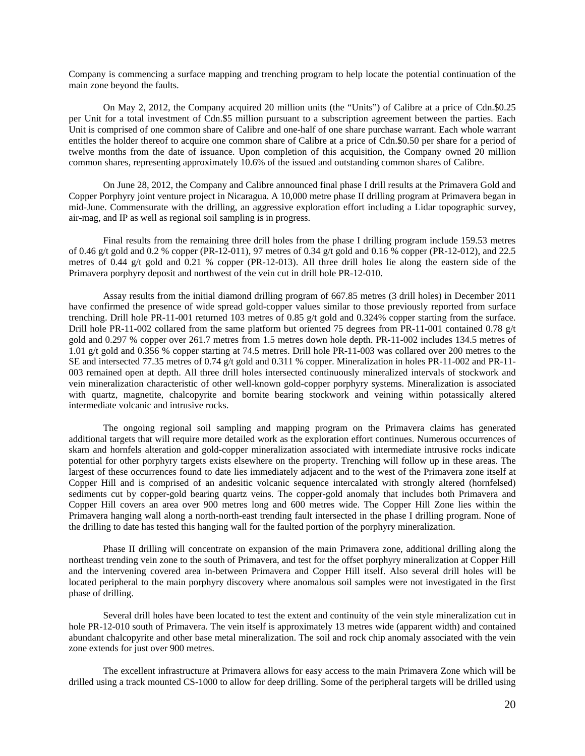Company is commencing a surface mapping and trenching program to help locate the potential continuation of the main zone beyond the faults.

On May 2, 2012, the Company acquired 20 million units (the "Units") of Calibre at a price of Cdn.\$0.25 per Unit for a total investment of Cdn.\$5 million pursuant to a subscription agreement between the parties. Each Unit is comprised of one common share of Calibre and one-half of one share purchase warrant. Each whole warrant entitles the holder thereof to acquire one common share of Calibre at a price of Cdn.\$0.50 per share for a period of twelve months from the date of issuance. Upon completion of this acquisition, the Company owned 20 million common shares, representing approximately 10.6% of the issued and outstanding common shares of Calibre.

On June 28, 2012, the Company and Calibre announced final phase I drill results at the Primavera Gold and Copper Porphyry joint venture project in Nicaragua. A 10,000 metre phase II drilling program at Primavera began in mid-June. Commensurate with the drilling, an aggressive exploration effort including a Lidar topographic survey, air-mag, and IP as well as regional soil sampling is in progress.

Final results from the remaining three drill holes from the phase I drilling program include 159.53 metres of 0.46 g/t gold and 0.2 % copper (PR-12-011), 97 metres of 0.34 g/t gold and 0.16 % copper (PR-12-012), and 22.5 metres of 0.44 g/t gold and 0.21 % copper (PR-12-013). All three drill holes lie along the eastern side of the Primavera porphyry deposit and northwest of the vein cut in drill hole PR-12-010.

Assay results from the initial diamond drilling program of 667.85 metres (3 drill holes) in December 2011 have confirmed the presence of wide spread gold-copper values similar to those previously reported from surface trenching. Drill hole PR-11-001 returned 103 metres of 0.85 g/t gold and 0.324% copper starting from the surface. Drill hole PR-11-002 collared from the same platform but oriented 75 degrees from PR-11-001 contained 0.78 g/t gold and 0.297 % copper over 261.7 metres from 1.5 metres down hole depth. PR-11-002 includes 134.5 metres of 1.01 g/t gold and 0.356 % copper starting at 74.5 metres. Drill hole PR-11-003 was collared over 200 metres to the SE and intersected 77.35 metres of 0.74 g/t gold and 0.311 % copper. Mineralization in holes PR-11-002 and PR-11- 003 remained open at depth. All three drill holes intersected continuously mineralized intervals of stockwork and vein mineralization characteristic of other well-known gold-copper porphyry systems. Mineralization is associated with quartz, magnetite, chalcopyrite and bornite bearing stockwork and veining within potassically altered intermediate volcanic and intrusive rocks.

The ongoing regional soil sampling and mapping program on the Primavera claims has generated additional targets that will require more detailed work as the exploration effort continues. Numerous occurrences of skarn and hornfels alteration and gold-copper mineralization associated with intermediate intrusive rocks indicate potential for other porphyry targets exists elsewhere on the property. Trenching will follow up in these areas. The largest of these occurrences found to date lies immediately adjacent and to the west of the Primavera zone itself at Copper Hill and is comprised of an andesitic volcanic sequence intercalated with strongly altered (hornfelsed) sediments cut by copper-gold bearing quartz veins. The copper-gold anomaly that includes both Primavera and Copper Hill covers an area over 900 metres long and 600 metres wide. The Copper Hill Zone lies within the Primavera hanging wall along a north-north-east trending fault intersected in the phase I drilling program. None of the drilling to date has tested this hanging wall for the faulted portion of the porphyry mineralization.

Phase II drilling will concentrate on expansion of the main Primavera zone, additional drilling along the northeast trending vein zone to the south of Primavera, and test for the offset porphyry mineralization at Copper Hill and the intervening covered area in-between Primavera and Copper Hill itself. Also several drill holes will be located peripheral to the main porphyry discovery where anomalous soil samples were not investigated in the first phase of drilling.

Several drill holes have been located to test the extent and continuity of the vein style mineralization cut in hole PR-12-010 south of Primavera. The vein itself is approximately 13 metres wide (apparent width) and contained abundant chalcopyrite and other base metal mineralization. The soil and rock chip anomaly associated with the vein zone extends for just over 900 metres.

The excellent infrastructure at Primavera allows for easy access to the main Primavera Zone which will be drilled using a track mounted CS-1000 to allow for deep drilling. Some of the peripheral targets will be drilled using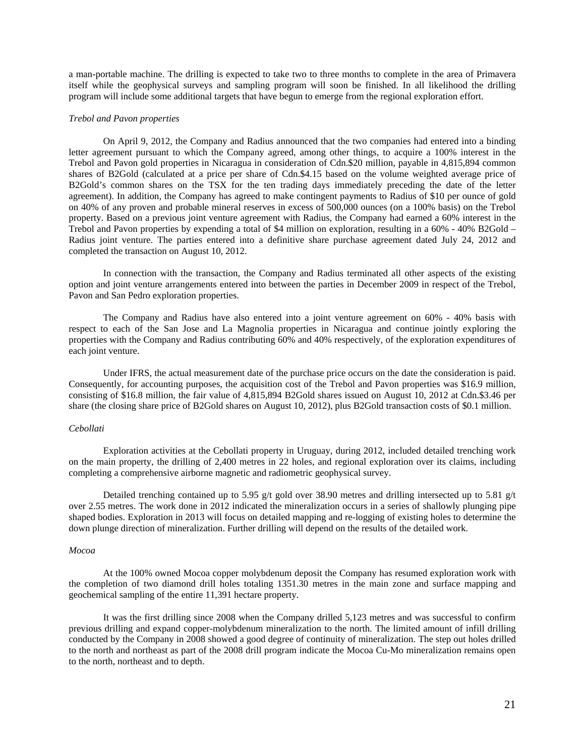a man-portable machine. The drilling is expected to take two to three months to complete in the area of Primavera itself while the geophysical surveys and sampling program will soon be finished. In all likelihood the drilling program will include some additional targets that have begun to emerge from the regional exploration effort.

#### *Trebol and Pavon properties*

On April 9, 2012, the Company and Radius announced that the two companies had entered into a binding letter agreement pursuant to which the Company agreed, among other things, to acquire a 100% interest in the Trebol and Pavon gold properties in Nicaragua in consideration of Cdn.\$20 million, payable in 4,815,894 common shares of B2Gold (calculated at a price per share of Cdn.\$4.15 based on the volume weighted average price of B2Gold's common shares on the TSX for the ten trading days immediately preceding the date of the letter agreement). In addition, the Company has agreed to make contingent payments to Radius of \$10 per ounce of gold on 40% of any proven and probable mineral reserves in excess of 500,000 ounces (on a 100% basis) on the Trebol property. Based on a previous joint venture agreement with Radius, the Company had earned a 60% interest in the Trebol and Pavon properties by expending a total of \$4 million on exploration, resulting in a 60% - 40% B2Gold – Radius joint venture. The parties entered into a definitive share purchase agreement dated July 24, 2012 and completed the transaction on August 10, 2012.

In connection with the transaction, the Company and Radius terminated all other aspects of the existing option and joint venture arrangements entered into between the parties in December 2009 in respect of the Trebol, Pavon and San Pedro exploration properties.

The Company and Radius have also entered into a joint venture agreement on 60% - 40% basis with respect to each of the San Jose and La Magnolia properties in Nicaragua and continue jointly exploring the properties with the Company and Radius contributing 60% and 40% respectively, of the exploration expenditures of each joint venture.

Under IFRS, the actual measurement date of the purchase price occurs on the date the consideration is paid. Consequently, for accounting purposes, the acquisition cost of the Trebol and Pavon properties was \$16.9 million, consisting of \$16.8 million, the fair value of 4,815,894 B2Gold shares issued on August 10, 2012 at Cdn.\$3.46 per share (the closing share price of B2Gold shares on August 10, 2012), plus B2Gold transaction costs of \$0.1 million.

#### *Cebollati*

Exploration activities at the Cebollati property in Uruguay, during 2012, included detailed trenching work on the main property, the drilling of 2,400 metres in 22 holes, and regional exploration over its claims, including completing a comprehensive airborne magnetic and radiometric geophysical survey.

Detailed trenching contained up to 5.95 g/t gold over 38.90 metres and drilling intersected up to 5.81 g/t over 2.55 metres. The work done in 2012 indicated the mineralization occurs in a series of shallowly plunging pipe shaped bodies. Exploration in 2013 will focus on detailed mapping and re-logging of existing holes to determine the down plunge direction of mineralization. Further drilling will depend on the results of the detailed work.

#### *Mocoa*

At the 100% owned Mocoa copper molybdenum deposit the Company has resumed exploration work with the completion of two diamond drill holes totaling 1351.30 metres in the main zone and surface mapping and geochemical sampling of the entire 11,391 hectare property.

It was the first drilling since 2008 when the Company drilled 5,123 metres and was successful to confirm previous drilling and expand copper-molybdenum mineralization to the north. The limited amount of infill drilling conducted by the Company in 2008 showed a good degree of continuity of mineralization. The step out holes drilled to the north and northeast as part of the 2008 drill program indicate the Mocoa Cu-Mo mineralization remains open to the north, northeast and to depth.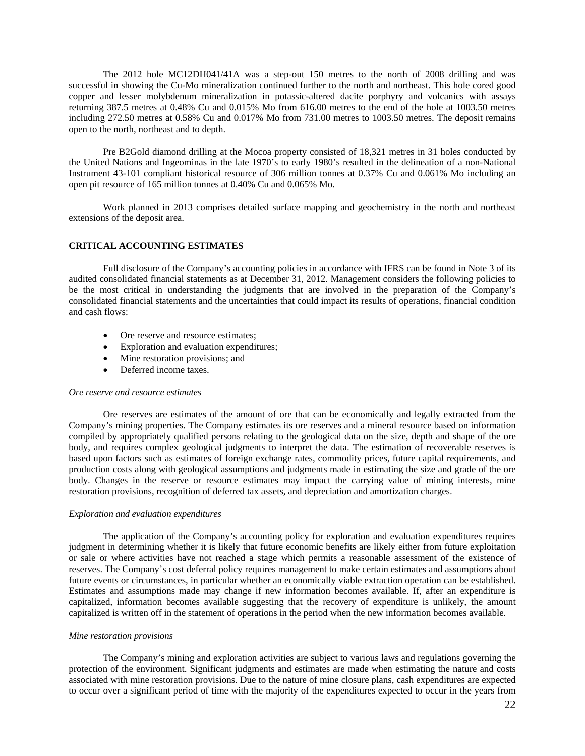The 2012 hole MC12DH041/41A was a step-out 150 metres to the north of 2008 drilling and was successful in showing the Cu-Mo mineralization continued further to the north and northeast. This hole cored good copper and lesser molybdenum mineralization in potassic-altered dacite porphyry and volcanics with assays returning 387.5 metres at 0.48% Cu and 0.015% Mo from 616.00 metres to the end of the hole at 1003.50 metres including 272.50 metres at 0.58% Cu and 0.017% Mo from 731.00 metres to 1003.50 metres. The deposit remains open to the north, northeast and to depth.

Pre B2Gold diamond drilling at the Mocoa property consisted of 18,321 metres in 31 holes conducted by the United Nations and Ingeominas in the late 1970's to early 1980's resulted in the delineation of a non-National Instrument 43-101 compliant historical resource of 306 million tonnes at 0.37% Cu and 0.061% Mo including an open pit resource of 165 million tonnes at 0.40% Cu and 0.065% Mo.

Work planned in 2013 comprises detailed surface mapping and geochemistry in the north and northeast extensions of the deposit area.

### **CRITICAL ACCOUNTING ESTIMATES**

Full disclosure of the Company's accounting policies in accordance with IFRS can be found in Note 3 of its audited consolidated financial statements as at December 31, 2012. Management considers the following policies to be the most critical in understanding the judgments that are involved in the preparation of the Company's consolidated financial statements and the uncertainties that could impact its results of operations, financial condition and cash flows:

- Ore reserve and resource estimates;
- Exploration and evaluation expenditures;
- Mine restoration provisions; and
- Deferred income taxes.

#### *Ore reserve and resource estimates*

Ore reserves are estimates of the amount of ore that can be economically and legally extracted from the Company's mining properties. The Company estimates its ore reserves and a mineral resource based on information compiled by appropriately qualified persons relating to the geological data on the size, depth and shape of the ore body, and requires complex geological judgments to interpret the data. The estimation of recoverable reserves is based upon factors such as estimates of foreign exchange rates, commodity prices, future capital requirements, and production costs along with geological assumptions and judgments made in estimating the size and grade of the ore body. Changes in the reserve or resource estimates may impact the carrying value of mining interests, mine restoration provisions, recognition of deferred tax assets, and depreciation and amortization charges.

#### *Exploration and evaluation expenditures*

The application of the Company's accounting policy for exploration and evaluation expenditures requires judgment in determining whether it is likely that future economic benefits are likely either from future exploitation or sale or where activities have not reached a stage which permits a reasonable assessment of the existence of reserves. The Company's cost deferral policy requires management to make certain estimates and assumptions about future events or circumstances, in particular whether an economically viable extraction operation can be established. Estimates and assumptions made may change if new information becomes available. If, after an expenditure is capitalized, information becomes available suggesting that the recovery of expenditure is unlikely, the amount capitalized is written off in the statement of operations in the period when the new information becomes available.

### *Mine restoration provisions*

The Company's mining and exploration activities are subject to various laws and regulations governing the protection of the environment. Significant judgments and estimates are made when estimating the nature and costs associated with mine restoration provisions. Due to the nature of mine closure plans, cash expenditures are expected to occur over a significant period of time with the majority of the expenditures expected to occur in the years from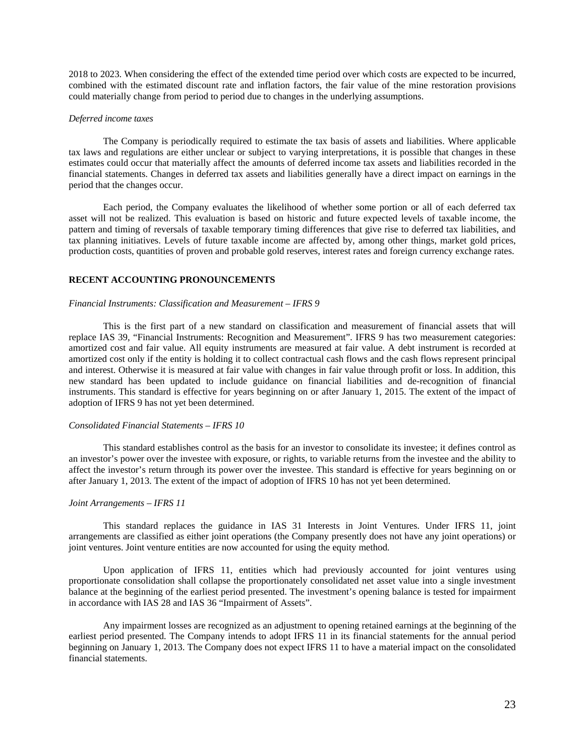2018 to 2023. When considering the effect of the extended time period over which costs are expected to be incurred, combined with the estimated discount rate and inflation factors, the fair value of the mine restoration provisions could materially change from period to period due to changes in the underlying assumptions.

### *Deferred income taxes*

The Company is periodically required to estimate the tax basis of assets and liabilities. Where applicable tax laws and regulations are either unclear or subject to varying interpretations, it is possible that changes in these estimates could occur that materially affect the amounts of deferred income tax assets and liabilities recorded in the financial statements. Changes in deferred tax assets and liabilities generally have a direct impact on earnings in the period that the changes occur.

Each period, the Company evaluates the likelihood of whether some portion or all of each deferred tax asset will not be realized. This evaluation is based on historic and future expected levels of taxable income, the pattern and timing of reversals of taxable temporary timing differences that give rise to deferred tax liabilities, and tax planning initiatives. Levels of future taxable income are affected by, among other things, market gold prices, production costs, quantities of proven and probable gold reserves, interest rates and foreign currency exchange rates.

## **RECENT ACCOUNTING PRONOUNCEMENTS**

#### *Financial Instruments: Classification and Measurement – IFRS 9*

This is the first part of a new standard on classification and measurement of financial assets that will replace IAS 39, "Financial Instruments: Recognition and Measurement". IFRS 9 has two measurement categories: amortized cost and fair value. All equity instruments are measured at fair value. A debt instrument is recorded at amortized cost only if the entity is holding it to collect contractual cash flows and the cash flows represent principal and interest. Otherwise it is measured at fair value with changes in fair value through profit or loss. In addition, this new standard has been updated to include guidance on financial liabilities and de-recognition of financial instruments. This standard is effective for years beginning on or after January 1, 2015. The extent of the impact of adoption of IFRS 9 has not yet been determined.

## *Consolidated Financial Statements – IFRS 10*

This standard establishes control as the basis for an investor to consolidate its investee; it defines control as an investor's power over the investee with exposure, or rights, to variable returns from the investee and the ability to affect the investor's return through its power over the investee. This standard is effective for years beginning on or after January 1, 2013. The extent of the impact of adoption of IFRS 10 has not yet been determined.

### *Joint Arrangements – IFRS 11*

This standard replaces the guidance in IAS 31 Interests in Joint Ventures. Under IFRS 11, joint arrangements are classified as either joint operations (the Company presently does not have any joint operations) or joint ventures. Joint venture entities are now accounted for using the equity method.

Upon application of IFRS 11, entities which had previously accounted for joint ventures using proportionate consolidation shall collapse the proportionately consolidated net asset value into a single investment balance at the beginning of the earliest period presented. The investment's opening balance is tested for impairment in accordance with IAS 28 and IAS 36 "Impairment of Assets".

Any impairment losses are recognized as an adjustment to opening retained earnings at the beginning of the earliest period presented. The Company intends to adopt IFRS 11 in its financial statements for the annual period beginning on January 1, 2013. The Company does not expect IFRS 11 to have a material impact on the consolidated financial statements.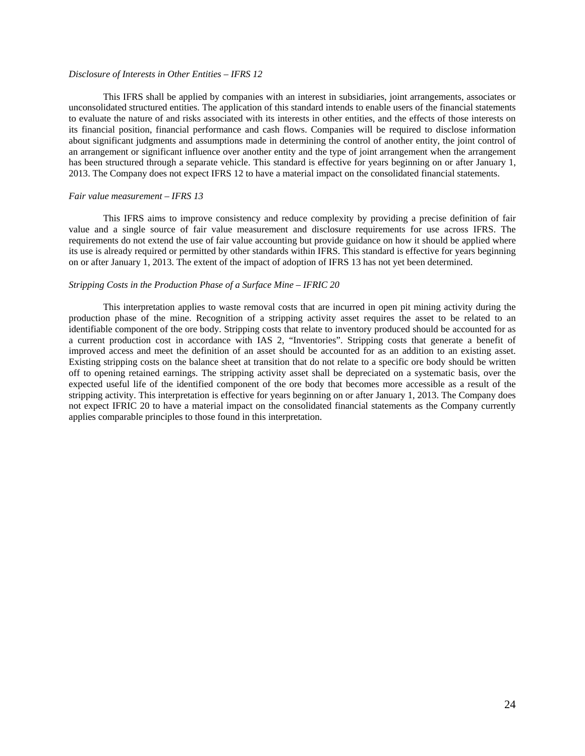## *Disclosure of Interests in Other Entities – IFRS 12*

This IFRS shall be applied by companies with an interest in subsidiaries, joint arrangements, associates or unconsolidated structured entities. The application of this standard intends to enable users of the financial statements to evaluate the nature of and risks associated with its interests in other entities, and the effects of those interests on its financial position, financial performance and cash flows. Companies will be required to disclose information about significant judgments and assumptions made in determining the control of another entity, the joint control of an arrangement or significant influence over another entity and the type of joint arrangement when the arrangement has been structured through a separate vehicle. This standard is effective for years beginning on or after January 1, 2013. The Company does not expect IFRS 12 to have a material impact on the consolidated financial statements.

#### *Fair value measurement – IFRS 13*

This IFRS aims to improve consistency and reduce complexity by providing a precise definition of fair value and a single source of fair value measurement and disclosure requirements for use across IFRS. The requirements do not extend the use of fair value accounting but provide guidance on how it should be applied where its use is already required or permitted by other standards within IFRS. This standard is effective for years beginning on or after January 1, 2013. The extent of the impact of adoption of IFRS 13 has not yet been determined.

### *Stripping Costs in the Production Phase of a Surface Mine – IFRIC 20*

This interpretation applies to waste removal costs that are incurred in open pit mining activity during the production phase of the mine. Recognition of a stripping activity asset requires the asset to be related to an identifiable component of the ore body. Stripping costs that relate to inventory produced should be accounted for as a current production cost in accordance with IAS 2, "Inventories". Stripping costs that generate a benefit of improved access and meet the definition of an asset should be accounted for as an addition to an existing asset. Existing stripping costs on the balance sheet at transition that do not relate to a specific ore body should be written off to opening retained earnings. The stripping activity asset shall be depreciated on a systematic basis, over the expected useful life of the identified component of the ore body that becomes more accessible as a result of the stripping activity. This interpretation is effective for years beginning on or after January 1, 2013. The Company does not expect IFRIC 20 to have a material impact on the consolidated financial statements as the Company currently applies comparable principles to those found in this interpretation.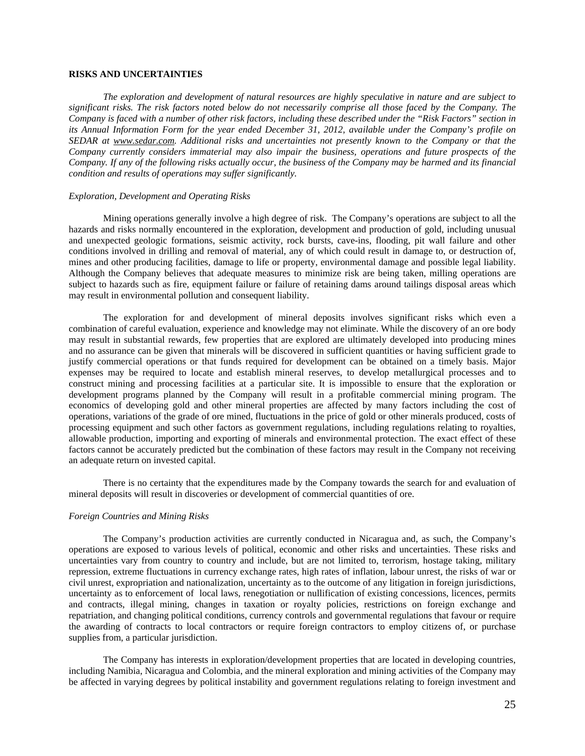## **RISKS AND UNCERTAINTIES**

*The exploration and development of natural resources are highly speculative in nature and are subject to significant risks. The risk factors noted below do not necessarily comprise all those faced by the Company. The Company is faced with a number of other risk factors, including these described under the "Risk Factors" section in its Annual Information Form for the year ended December 31, 2012, available under the Company's profile on SEDAR at www.sedar.com. Additional risks and uncertainties not presently known to the Company or that the Company currently considers immaterial may also impair the business, operations and future prospects of the Company. If any of the following risks actually occur, the business of the Company may be harmed and its financial condition and results of operations may suffer significantly.* 

#### *Exploration, Development and Operating Risks*

Mining operations generally involve a high degree of risk. The Company's operations are subject to all the hazards and risks normally encountered in the exploration, development and production of gold, including unusual and unexpected geologic formations, seismic activity, rock bursts, cave-ins, flooding, pit wall failure and other conditions involved in drilling and removal of material, any of which could result in damage to, or destruction of, mines and other producing facilities, damage to life or property, environmental damage and possible legal liability. Although the Company believes that adequate measures to minimize risk are being taken, milling operations are subject to hazards such as fire, equipment failure or failure of retaining dams around tailings disposal areas which may result in environmental pollution and consequent liability.

The exploration for and development of mineral deposits involves significant risks which even a combination of careful evaluation, experience and knowledge may not eliminate. While the discovery of an ore body may result in substantial rewards, few properties that are explored are ultimately developed into producing mines and no assurance can be given that minerals will be discovered in sufficient quantities or having sufficient grade to justify commercial operations or that funds required for development can be obtained on a timely basis. Major expenses may be required to locate and establish mineral reserves, to develop metallurgical processes and to construct mining and processing facilities at a particular site. It is impossible to ensure that the exploration or development programs planned by the Company will result in a profitable commercial mining program. The economics of developing gold and other mineral properties are affected by many factors including the cost of operations, variations of the grade of ore mined, fluctuations in the price of gold or other minerals produced, costs of processing equipment and such other factors as government regulations, including regulations relating to royalties, allowable production, importing and exporting of minerals and environmental protection. The exact effect of these factors cannot be accurately predicted but the combination of these factors may result in the Company not receiving an adequate return on invested capital.

There is no certainty that the expenditures made by the Company towards the search for and evaluation of mineral deposits will result in discoveries or development of commercial quantities of ore.

#### *Foreign Countries and Mining Risks*

The Company's production activities are currently conducted in Nicaragua and, as such, the Company's operations are exposed to various levels of political, economic and other risks and uncertainties. These risks and uncertainties vary from country to country and include, but are not limited to, terrorism, hostage taking, military repression, extreme fluctuations in currency exchange rates, high rates of inflation, labour unrest, the risks of war or civil unrest, expropriation and nationalization, uncertainty as to the outcome of any litigation in foreign jurisdictions, uncertainty as to enforcement of local laws, renegotiation or nullification of existing concessions, licences, permits and contracts, illegal mining, changes in taxation or royalty policies, restrictions on foreign exchange and repatriation, and changing political conditions, currency controls and governmental regulations that favour or require the awarding of contracts to local contractors or require foreign contractors to employ citizens of, or purchase supplies from, a particular jurisdiction.

The Company has interests in exploration/development properties that are located in developing countries, including Namibia, Nicaragua and Colombia, and the mineral exploration and mining activities of the Company may be affected in varying degrees by political instability and government regulations relating to foreign investment and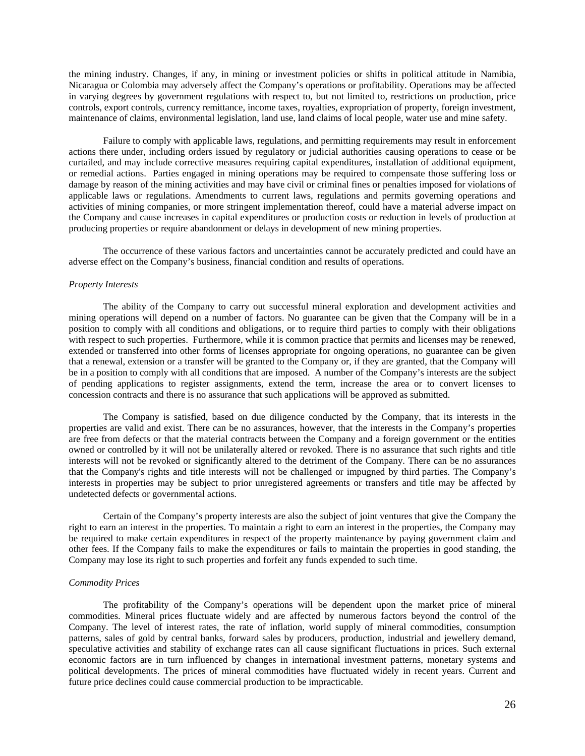the mining industry. Changes, if any, in mining or investment policies or shifts in political attitude in Namibia, Nicaragua or Colombia may adversely affect the Company's operations or profitability. Operations may be affected in varying degrees by government regulations with respect to, but not limited to, restrictions on production, price controls, export controls, currency remittance, income taxes, royalties, expropriation of property, foreign investment, maintenance of claims, environmental legislation, land use, land claims of local people, water use and mine safety.

Failure to comply with applicable laws, regulations, and permitting requirements may result in enforcement actions there under, including orders issued by regulatory or judicial authorities causing operations to cease or be curtailed, and may include corrective measures requiring capital expenditures, installation of additional equipment, or remedial actions. Parties engaged in mining operations may be required to compensate those suffering loss or damage by reason of the mining activities and may have civil or criminal fines or penalties imposed for violations of applicable laws or regulations. Amendments to current laws, regulations and permits governing operations and activities of mining companies, or more stringent implementation thereof, could have a material adverse impact on the Company and cause increases in capital expenditures or production costs or reduction in levels of production at producing properties or require abandonment or delays in development of new mining properties.

The occurrence of these various factors and uncertainties cannot be accurately predicted and could have an adverse effect on the Company's business, financial condition and results of operations.

#### *Property Interests*

The ability of the Company to carry out successful mineral exploration and development activities and mining operations will depend on a number of factors. No guarantee can be given that the Company will be in a position to comply with all conditions and obligations, or to require third parties to comply with their obligations with respect to such properties. Furthermore, while it is common practice that permits and licenses may be renewed, extended or transferred into other forms of licenses appropriate for ongoing operations, no guarantee can be given that a renewal, extension or a transfer will be granted to the Company or, if they are granted, that the Company will be in a position to comply with all conditions that are imposed. A number of the Company's interests are the subject of pending applications to register assignments, extend the term, increase the area or to convert licenses to concession contracts and there is no assurance that such applications will be approved as submitted.

The Company is satisfied, based on due diligence conducted by the Company, that its interests in the properties are valid and exist. There can be no assurances, however, that the interests in the Company's properties are free from defects or that the material contracts between the Company and a foreign government or the entities owned or controlled by it will not be unilaterally altered or revoked. There is no assurance that such rights and title interests will not be revoked or significantly altered to the detriment of the Company. There can be no assurances that the Company's rights and title interests will not be challenged or impugned by third parties. The Company's interests in properties may be subject to prior unregistered agreements or transfers and title may be affected by undetected defects or governmental actions.

Certain of the Company's property interests are also the subject of joint ventures that give the Company the right to earn an interest in the properties. To maintain a right to earn an interest in the properties, the Company may be required to make certain expenditures in respect of the property maintenance by paying government claim and other fees. If the Company fails to make the expenditures or fails to maintain the properties in good standing, the Company may lose its right to such properties and forfeit any funds expended to such time.

### *Commodity Prices*

The profitability of the Company's operations will be dependent upon the market price of mineral commodities. Mineral prices fluctuate widely and are affected by numerous factors beyond the control of the Company. The level of interest rates, the rate of inflation, world supply of mineral commodities, consumption patterns, sales of gold by central banks, forward sales by producers, production, industrial and jewellery demand, speculative activities and stability of exchange rates can all cause significant fluctuations in prices. Such external economic factors are in turn influenced by changes in international investment patterns, monetary systems and political developments. The prices of mineral commodities have fluctuated widely in recent years. Current and future price declines could cause commercial production to be impracticable.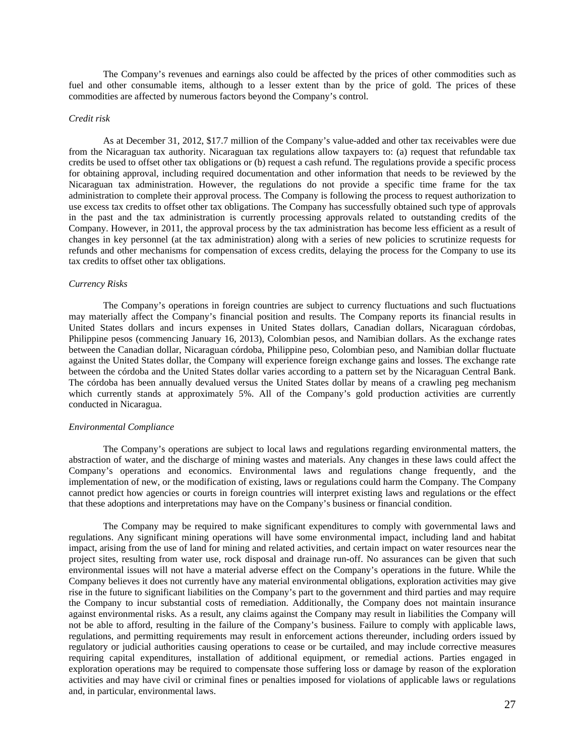The Company's revenues and earnings also could be affected by the prices of other commodities such as fuel and other consumable items, although to a lesser extent than by the price of gold. The prices of these commodities are affected by numerous factors beyond the Company's control.

#### *Credit risk*

As at December 31, 2012, \$17.7 million of the Company's value-added and other tax receivables were due from the Nicaraguan tax authority. Nicaraguan tax regulations allow taxpayers to: (a) request that refundable tax credits be used to offset other tax obligations or (b) request a cash refund. The regulations provide a specific process for obtaining approval, including required documentation and other information that needs to be reviewed by the Nicaraguan tax administration. However, the regulations do not provide a specific time frame for the tax administration to complete their approval process. The Company is following the process to request authorization to use excess tax credits to offset other tax obligations. The Company has successfully obtained such type of approvals in the past and the tax administration is currently processing approvals related to outstanding credits of the Company. However, in 2011, the approval process by the tax administration has become less efficient as a result of changes in key personnel (at the tax administration) along with a series of new policies to scrutinize requests for refunds and other mechanisms for compensation of excess credits, delaying the process for the Company to use its tax credits to offset other tax obligations.

#### *Currency Risks*

The Company's operations in foreign countries are subject to currency fluctuations and such fluctuations may materially affect the Company's financial position and results. The Company reports its financial results in United States dollars and incurs expenses in United States dollars, Canadian dollars, Nicaraguan córdobas, Philippine pesos (commencing January 16, 2013), Colombian pesos, and Namibian dollars. As the exchange rates between the Canadian dollar, Nicaraguan córdoba, Philippine peso, Colombian peso, and Namibian dollar fluctuate against the United States dollar, the Company will experience foreign exchange gains and losses. The exchange rate between the córdoba and the United States dollar varies according to a pattern set by the Nicaraguan Central Bank. The córdoba has been annually devalued versus the United States dollar by means of a crawling peg mechanism which currently stands at approximately 5%. All of the Company's gold production activities are currently conducted in Nicaragua.

#### *Environmental Compliance*

The Company's operations are subject to local laws and regulations regarding environmental matters, the abstraction of water, and the discharge of mining wastes and materials. Any changes in these laws could affect the Company's operations and economics. Environmental laws and regulations change frequently, and the implementation of new, or the modification of existing, laws or regulations could harm the Company. The Company cannot predict how agencies or courts in foreign countries will interpret existing laws and regulations or the effect that these adoptions and interpretations may have on the Company's business or financial condition.

The Company may be required to make significant expenditures to comply with governmental laws and regulations. Any significant mining operations will have some environmental impact, including land and habitat impact, arising from the use of land for mining and related activities, and certain impact on water resources near the project sites, resulting from water use, rock disposal and drainage run-off. No assurances can be given that such environmental issues will not have a material adverse effect on the Company's operations in the future. While the Company believes it does not currently have any material environmental obligations, exploration activities may give rise in the future to significant liabilities on the Company's part to the government and third parties and may require the Company to incur substantial costs of remediation. Additionally, the Company does not maintain insurance against environmental risks. As a result, any claims against the Company may result in liabilities the Company will not be able to afford, resulting in the failure of the Company's business. Failure to comply with applicable laws, regulations, and permitting requirements may result in enforcement actions thereunder, including orders issued by regulatory or judicial authorities causing operations to cease or be curtailed, and may include corrective measures requiring capital expenditures, installation of additional equipment, or remedial actions. Parties engaged in exploration operations may be required to compensate those suffering loss or damage by reason of the exploration activities and may have civil or criminal fines or penalties imposed for violations of applicable laws or regulations and, in particular, environmental laws.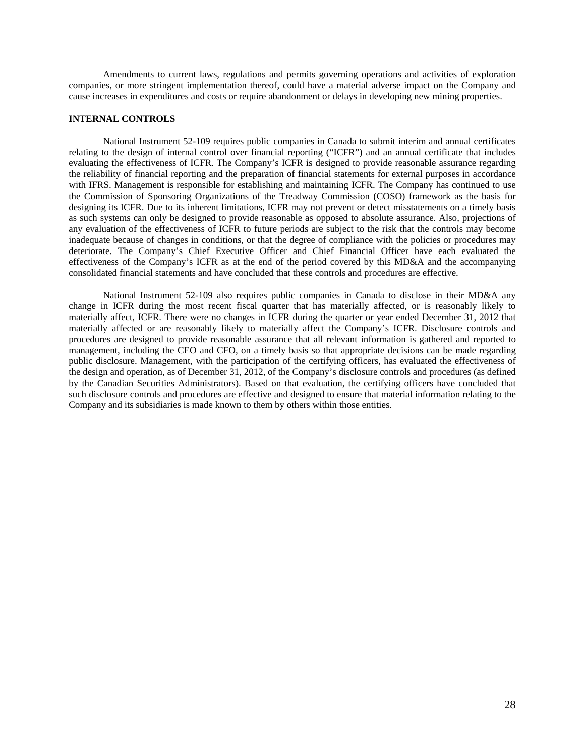Amendments to current laws, regulations and permits governing operations and activities of exploration companies, or more stringent implementation thereof, could have a material adverse impact on the Company and cause increases in expenditures and costs or require abandonment or delays in developing new mining properties.

### **INTERNAL CONTROLS**

National Instrument 52-109 requires public companies in Canada to submit interim and annual certificates relating to the design of internal control over financial reporting ("ICFR") and an annual certificate that includes evaluating the effectiveness of ICFR. The Company's ICFR is designed to provide reasonable assurance regarding the reliability of financial reporting and the preparation of financial statements for external purposes in accordance with IFRS. Management is responsible for establishing and maintaining ICFR. The Company has continued to use the Commission of Sponsoring Organizations of the Treadway Commission (COSO) framework as the basis for designing its ICFR. Due to its inherent limitations, ICFR may not prevent or detect misstatements on a timely basis as such systems can only be designed to provide reasonable as opposed to absolute assurance. Also, projections of any evaluation of the effectiveness of ICFR to future periods are subject to the risk that the controls may become inadequate because of changes in conditions, or that the degree of compliance with the policies or procedures may deteriorate. The Company's Chief Executive Officer and Chief Financial Officer have each evaluated the effectiveness of the Company's ICFR as at the end of the period covered by this MD&A and the accompanying consolidated financial statements and have concluded that these controls and procedures are effective.

National Instrument 52-109 also requires public companies in Canada to disclose in their MD&A any change in ICFR during the most recent fiscal quarter that has materially affected, or is reasonably likely to materially affect, ICFR. There were no changes in ICFR during the quarter or year ended December 31, 2012 that materially affected or are reasonably likely to materially affect the Company's ICFR. Disclosure controls and procedures are designed to provide reasonable assurance that all relevant information is gathered and reported to management, including the CEO and CFO, on a timely basis so that appropriate decisions can be made regarding public disclosure. Management, with the participation of the certifying officers, has evaluated the effectiveness of the design and operation, as of December 31, 2012, of the Company's disclosure controls and procedures (as defined by the Canadian Securities Administrators). Based on that evaluation, the certifying officers have concluded that such disclosure controls and procedures are effective and designed to ensure that material information relating to the Company and its subsidiaries is made known to them by others within those entities.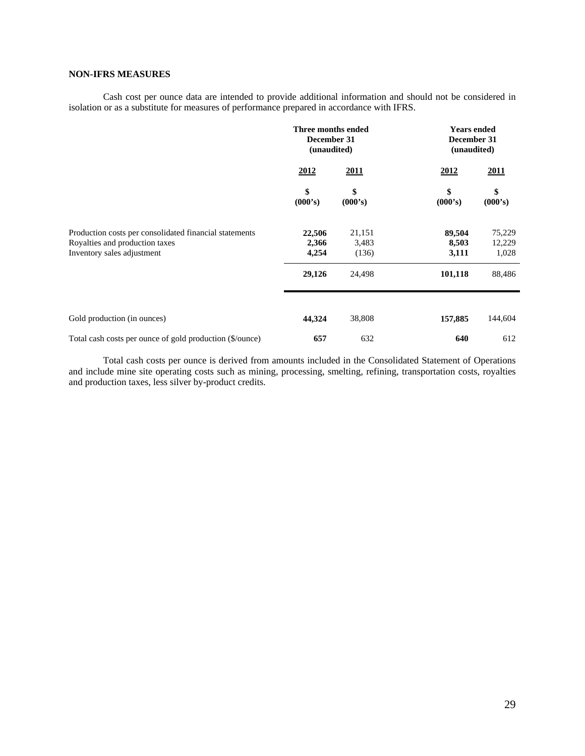# **NON-IFRS MEASURES**

Cash cost per ounce data are intended to provide additional information and should not be considered in isolation or as a substitute for measures of performance prepared in accordance with IFRS.

|                                                                                                                        | Three months ended<br>December 31<br>(unaudited) |                          | <b>Years ended</b><br>December 31<br>(unaudited) |                           |  |
|------------------------------------------------------------------------------------------------------------------------|--------------------------------------------------|--------------------------|--------------------------------------------------|---------------------------|--|
|                                                                                                                        | 2012                                             | 2011                     | 2012                                             | 2011                      |  |
|                                                                                                                        | \$<br>(000's)                                    | \$<br>(000's)            | \$<br>(000's)                                    | \$<br>(000's)             |  |
| Production costs per consolidated financial statements<br>Royalties and production taxes<br>Inventory sales adjustment | 22,506<br>2,366<br>4,254                         | 21,151<br>3,483<br>(136) | 89,504<br>8,503<br>3,111                         | 75,229<br>12,229<br>1,028 |  |
|                                                                                                                        | 29,126                                           | 24,498                   | 101,118                                          | 88,486                    |  |
|                                                                                                                        |                                                  |                          |                                                  |                           |  |
| Gold production (in ounces)                                                                                            | 44,324                                           | 38,808                   | 157,885                                          | 144,604                   |  |
| Total cash costs per ounce of gold production (\$/ounce)                                                               | 657                                              | 632                      | 640                                              | 612                       |  |

Total cash costs per ounce is derived from amounts included in the Consolidated Statement of Operations and include mine site operating costs such as mining, processing, smelting, refining, transportation costs, royalties and production taxes, less silver by-product credits.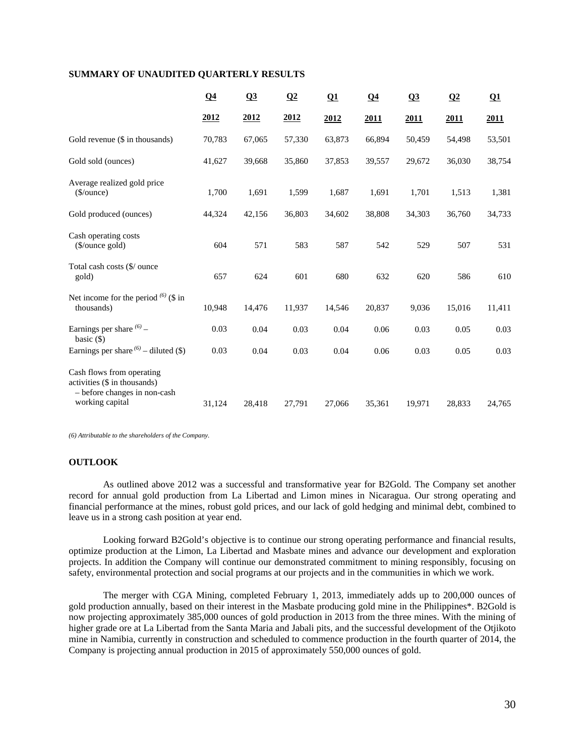## **SUMMARY OF UNAUDITED QUARTERLY RESULTS**

|                                                                                                              | Q <sub>4</sub> | Q3     | Q2     | $\Omega$ | Q <sub>4</sub> | Q3     | $\Omega$ | $\Omega$ |
|--------------------------------------------------------------------------------------------------------------|----------------|--------|--------|----------|----------------|--------|----------|----------|
|                                                                                                              | 2012           | 2012   | 2012   | 2012     | 2011           | 2011   | 2011     | 2011     |
| Gold revenue (\$ in thousands)                                                                               | 70,783         | 67,065 | 57,330 | 63,873   | 66,894         | 50,459 | 54,498   | 53,501   |
| Gold sold (ounces)                                                                                           | 41,627         | 39,668 | 35,860 | 37,853   | 39,557         | 29,672 | 36,030   | 38,754   |
| Average realized gold price<br>( <i>§</i> /ounce)                                                            | 1,700          | 1,691  | 1,599  | 1,687    | 1,691          | 1,701  | 1,513    | 1,381    |
| Gold produced (ounces)                                                                                       | 44,324         | 42,156 | 36,803 | 34,602   | 38,808         | 34,303 | 36,760   | 34,733   |
| Cash operating costs<br>(\$/ounce gold)                                                                      | 604            | 571    | 583    | 587      | 542            | 529    | 507      | 531      |
| Total cash costs (\$/ ounce<br>gold)                                                                         | 657            | 624    | 601    | 680      | 632            | 620    | 586      | 610      |
| Net income for the period $^{(6)}$ (\$ in<br>thousands)                                                      | 10,948         | 14,476 | 11,937 | 14,546   | 20,837         | 9,036  | 15,016   | 11,411   |
| Earnings per share $^{(6)}$ -<br>basic $($ )                                                                 | 0.03           | 0.04   | 0.03   | 0.04     | 0.06           | 0.03   | 0.05     | 0.03     |
| Earnings per share $(6)$ – diluted (\$)                                                                      | 0.03           | 0.04   | 0.03   | 0.04     | 0.06           | 0.03   | 0.05     | 0.03     |
| Cash flows from operating<br>activities (\$ in thousands)<br>- before changes in non-cash<br>working capital | 31,124         | 28,418 | 27,791 | 27,066   | 35,361         | 19,971 | 28,833   | 24,765   |

*(6) Attributable to the shareholders of the Company.* 

# **OUTLOOK**

As outlined above 2012 was a successful and transformative year for B2Gold. The Company set another record for annual gold production from La Libertad and Limon mines in Nicaragua. Our strong operating and financial performance at the mines, robust gold prices, and our lack of gold hedging and minimal debt, combined to leave us in a strong cash position at year end.

Looking forward B2Gold's objective is to continue our strong operating performance and financial results, optimize production at the Limon, La Libertad and Masbate mines and advance our development and exploration projects. In addition the Company will continue our demonstrated commitment to mining responsibly, focusing on safety, environmental protection and social programs at our projects and in the communities in which we work.

The merger with CGA Mining, completed February 1, 2013, immediately adds up to 200,000 ounces of gold production annually, based on their interest in the Masbate producing gold mine in the Philippines\*. B2Gold is now projecting approximately 385,000 ounces of gold production in 2013 from the three mines. With the mining of higher grade ore at La Libertad from the Santa Maria and Jabali pits, and the successful development of the Otjikoto mine in Namibia, currently in construction and scheduled to commence production in the fourth quarter of 2014, the Company is projecting annual production in 2015 of approximately 550,000 ounces of gold.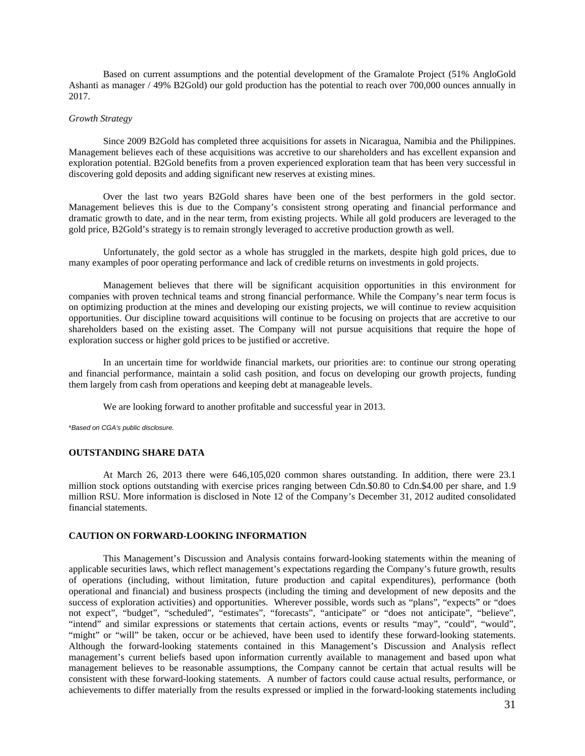Based on current assumptions and the potential development of the Gramalote Project (51% AngloGold Ashanti as manager / 49% B2Gold) our gold production has the potential to reach over 700,000 ounces annually in 2017.

### *Growth Strategy*

Since 2009 B2Gold has completed three acquisitions for assets in Nicaragua, Namibia and the Philippines. Management believes each of these acquisitions was accretive to our shareholders and has excellent expansion and exploration potential. B2Gold benefits from a proven experienced exploration team that has been very successful in discovering gold deposits and adding significant new reserves at existing mines.

Over the last two years B2Gold shares have been one of the best performers in the gold sector. Management believes this is due to the Company's consistent strong operating and financial performance and dramatic growth to date, and in the near term, from existing projects. While all gold producers are leveraged to the gold price, B2Gold's strategy is to remain strongly leveraged to accretive production growth as well.

Unfortunately, the gold sector as a whole has struggled in the markets, despite high gold prices, due to many examples of poor operating performance and lack of credible returns on investments in gold projects.

Management believes that there will be significant acquisition opportunities in this environment for companies with proven technical teams and strong financial performance. While the Company's near term focus is on optimizing production at the mines and developing our existing projects, we will continue to review acquisition opportunities. Our discipline toward acquisitions will continue to be focusing on projects that are accretive to our shareholders based on the existing asset. The Company will not pursue acquisitions that require the hope of exploration success or higher gold prices to be justified or accretive.

In an uncertain time for worldwide financial markets, our priorities are: to continue our strong operating and financial performance, maintain a solid cash position, and focus on developing our growth projects, funding them largely from cash from operations and keeping debt at manageable levels.

We are looking forward to another profitable and successful year in 2013.

\**Based on CGA's public disclosure.* 

### **OUTSTANDING SHARE DATA**

At March 26, 2013 there were 646,105,020 common shares outstanding. In addition, there were 23.1 million stock options outstanding with exercise prices ranging between Cdn.\$0.80 to Cdn.\$4.00 per share, and 1.9 million RSU. More information is disclosed in Note 12 of the Company's December 31, 2012 audited consolidated financial statements.

### **CAUTION ON FORWARD-LOOKING INFORMATION**

This Management's Discussion and Analysis contains forward-looking statements within the meaning of applicable securities laws, which reflect management's expectations regarding the Company's future growth, results of operations (including, without limitation, future production and capital expenditures), performance (both operational and financial) and business prospects (including the timing and development of new deposits and the success of exploration activities) and opportunities. Wherever possible, words such as "plans", "expects" or "does not expect", "budget", "scheduled", "estimates", "forecasts", "anticipate" or "does not anticipate", "believe", "intend" and similar expressions or statements that certain actions, events or results "may", "could", "would", "might" or "will" be taken, occur or be achieved, have been used to identify these forward-looking statements. Although the forward-looking statements contained in this Management's Discussion and Analysis reflect management's current beliefs based upon information currently available to management and based upon what management believes to be reasonable assumptions, the Company cannot be certain that actual results will be consistent with these forward-looking statements. A number of factors could cause actual results, performance, or achievements to differ materially from the results expressed or implied in the forward-looking statements including